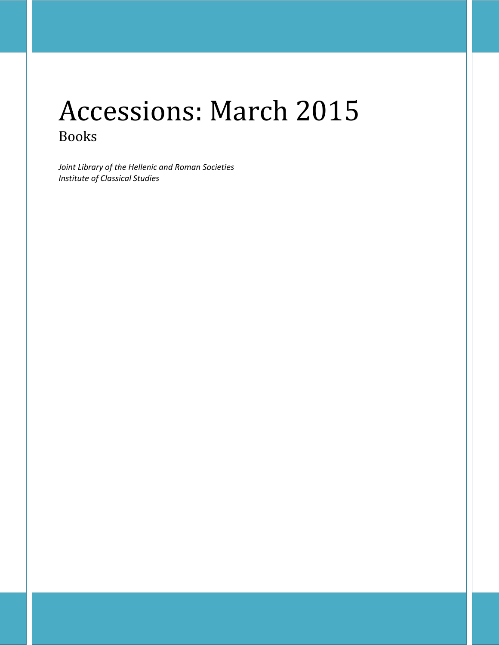# Accessions: March 2015 Books

*Joint Library of the Hellenic and Roman Societies Institute of Classical Studies*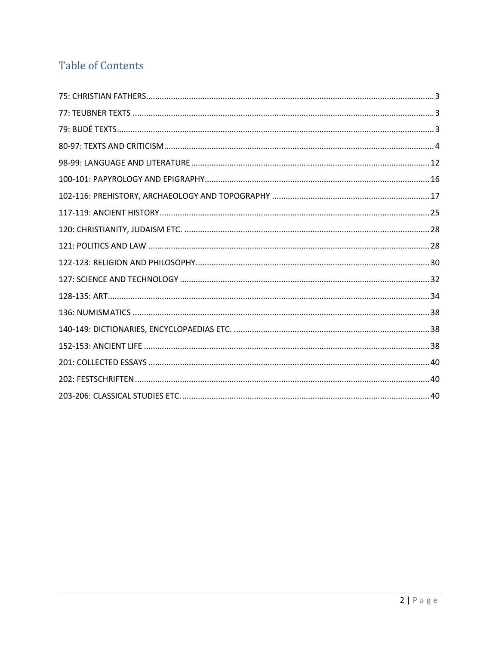## **Table of Contents**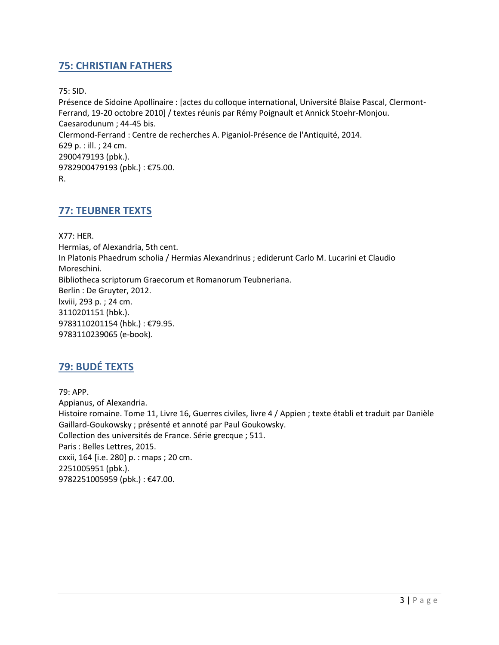#### <span id="page-2-0"></span>**75: CHRISTIAN FATHERS**

75: SID.

Présence de Sidoine Apollinaire : [actes du colloque international, Université Blaise Pascal, Clermont-Ferrand, 19-20 octobre 2010] / textes réunis par Rémy Poignault et Annick Stoehr-Monjou. Caesarodunum ; 44-45 bis. Clermond-Ferrand : Centre de recherches A. Piganiol-Présence de l'Antiquité, 2014. 629 p. : ill. ; 24 cm. 2900479193 (pbk.). 9782900479193 (pbk.) : €75.00. R.

#### <span id="page-2-1"></span>**77: TEUBNER TEXTS**

X77: HER. Hermias, of Alexandria, 5th cent. In Platonis Phaedrum scholia / Hermias Alexandrinus ; ediderunt Carlo M. Lucarini et Claudio Moreschini. Bibliotheca scriptorum Graecorum et Romanorum Teubneriana. Berlin : De Gruyter, 2012. lxviii, 293 p. ; 24 cm. 3110201151 (hbk.). 9783110201154 (hbk.) : €79.95. 9783110239065 (e-book).

### <span id="page-2-2"></span>**79: BUDÉ TEXTS**

79: APP. Appianus, of Alexandria. Histoire romaine. Tome 11, Livre 16, Guerres civiles, livre 4 / Appien ; texte établi et traduit par Danièle Gaillard-Goukowsky ; présenté et annoté par Paul Goukowsky. Collection des universités de France. Série grecque ; 511. Paris : Belles Lettres, 2015. cxxii, 164 [i.e. 280] p. : maps ; 20 cm. 2251005951 (pbk.). 9782251005959 (pbk.) : €47.00.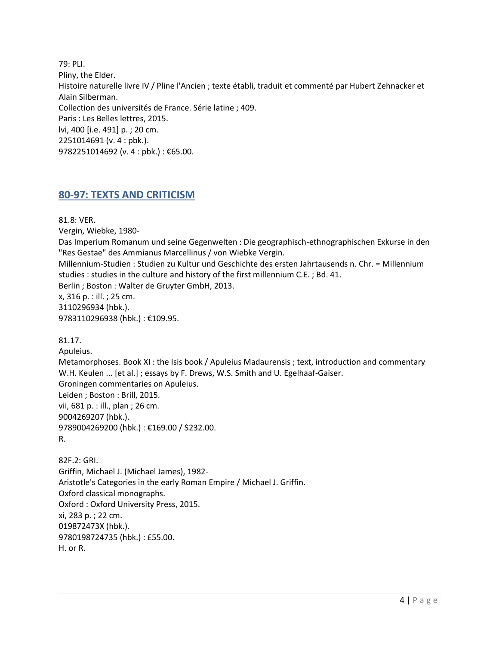79: PLI. Pliny, the Elder. Histoire naturelle livre IV / Pline l'Ancien ; texte établi, traduit et commenté par Hubert Zehnacker et Alain Silberman. Collection des universités de France. Série latine ; 409. Paris : Les Belles lettres, 2015. lvi, 400 [i.e. 491] p. ; 20 cm. 2251014691 (v. 4 : pbk.). 9782251014692 (v. 4 : pbk.) : €65.00.

#### <span id="page-3-0"></span>**80-97: TEXTS AND CRITICISM**

81.8: VER.

Vergin, Wiebke, 1980-

Das Imperium Romanum und seine Gegenwelten : Die geographisch-ethnographischen Exkurse in den "Res Gestae" des Ammianus Marcellinus / von Wiebke Vergin.

Millennium-Studien : Studien zu Kultur und Geschichte des ersten Jahrtausends n. Chr. = Millennium studies : studies in the culture and history of the first millennium C.E. ; Bd. 41.

Berlin ; Boston : Walter de Gruyter GmbH, 2013.

x, 316 p. : ill. ; 25 cm. 3110296934 (hbk.). 9783110296938 (hbk.) : €109.95.

81.17. Apuleius. Metamorphoses. Book XI : the Isis book / Apuleius Madaurensis ; text, introduction and commentary W.H. Keulen ... [et al.] ; essays by F. Drews, W.S. Smith and U. Egelhaaf-Gaiser. Groningen commentaries on Apuleius. Leiden ; Boston : Brill, 2015. vii, 681 p. : ill., plan ; 26 cm. 9004269207 (hbk.). 9789004269200 (hbk.) : €169.00 / \$232.00. R.

82F.2: GRI. Griffin, Michael J. (Michael James), 1982- Aristotle's Categories in the early Roman Empire / Michael J. Griffin. Oxford classical monographs. Oxford : Oxford University Press, 2015. xi, 283 p. ; 22 cm. 019872473X (hbk.). 9780198724735 (hbk.) : £55.00. H. or R.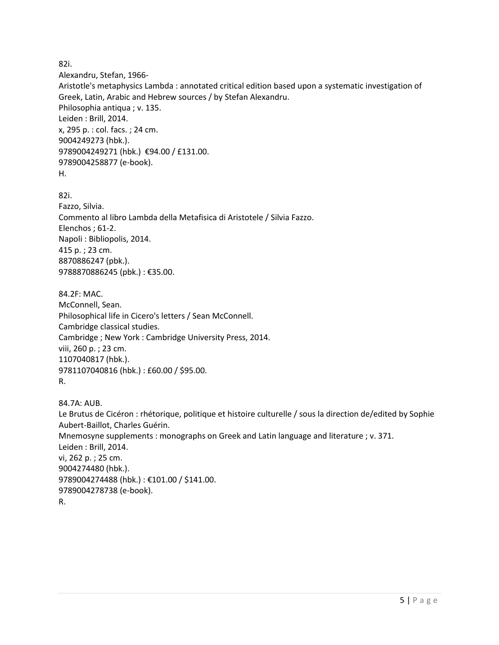82i.

Alexandru, Stefan, 1966-

Aristotle's metaphysics Lambda : annotated critical edition based upon a systematic investigation of Greek, Latin, Arabic and Hebrew sources / by Stefan Alexandru. Philosophia antiqua ; v. 135. Leiden : Brill, 2014. x, 295 p. : col. facs. ; 24 cm. 9004249273 (hbk.). 9789004249271 (hbk.) €94.00 / £131.00. 9789004258877 (e-book). H.

82i.

Fazzo, Silvia. Commento al libro Lambda della Metafisica di Aristotele / Silvia Fazzo. Elenchos ; 61-2. Napoli : Bibliopolis, 2014. 415 p. ; 23 cm. 8870886247 (pbk.). 9788870886245 (pbk.) : €35.00.

84.2F: MAC. McConnell, Sean. Philosophical life in Cicero's letters / Sean McConnell. Cambridge classical studies. Cambridge ; New York : Cambridge University Press, 2014. viii, 260 p. ; 23 cm. 1107040817 (hbk.). 9781107040816 (hbk.) : £60.00 / \$95.00. R.

84.7A: AUB. Le Brutus de Cicéron : rhétorique, politique et histoire culturelle / sous la direction de/edited by Sophie Aubert-Baillot, Charles Guérin. Mnemosyne supplements : monographs on Greek and Latin language and literature ; v. 371. Leiden : Brill, 2014. vi, 262 p. ; 25 cm. 9004274480 (hbk.). 9789004274488 (hbk.) : €101.00 / \$141.00. 9789004278738 (e-book). R.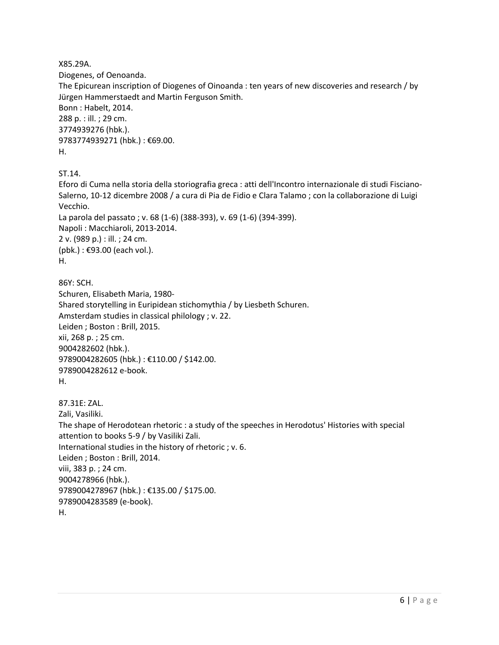X85.29A.

Diogenes, of Oenoanda.

The Epicurean inscription of Diogenes of Oinoanda : ten years of new discoveries and research / by Jürgen Hammerstaedt and Martin Ferguson Smith. Bonn : Habelt, 2014. 288 p. : ill. ; 29 cm. 3774939276 (hbk.). 9783774939271 (hbk.) : €69.00.

H.

ST.14.

Eforo di Cuma nella storia della storiografia greca : atti dell'Incontro internazionale di studi Fisciano-Salerno, 10-12 dicembre 2008 / a cura di Pia de Fidio e Clara Talamo ; con la collaborazione di Luigi Vecchio. La parola del passato ; v. 68 (1-6) (388-393), v. 69 (1-6) (394-399). Napoli : Macchiaroli, 2013-2014. 2 v. (989 p.) : ill. ; 24 cm.

(pbk.) : €93.00 (each vol.). H.

86Y: SCH. Schuren, Elisabeth Maria, 1980- Shared storytelling in Euripidean stichomythia / by Liesbeth Schuren. Amsterdam studies in classical philology ; v. 22. Leiden ; Boston : Brill, 2015. xii, 268 p. ; 25 cm. 9004282602 (hbk.). 9789004282605 (hbk.) : €110.00 / \$142.00. 9789004282612 e-book. H.

```
87.31E: ZAL. 
Zali, Vasiliki.
The shape of Herodotean rhetoric : a study of the speeches in Herodotus' Histories with special 
attention to books 5-9 / by Vasiliki Zali.
International studies in the history of rhetoric ; v. 6.
Leiden ; Boston : Brill, 2014.
viii, 383 p. ; 24 cm.
9004278966 (hbk.). 
9789004278967 (hbk.) : €135.00 / $175.00. 
9789004283589 (e-book). 
H.
```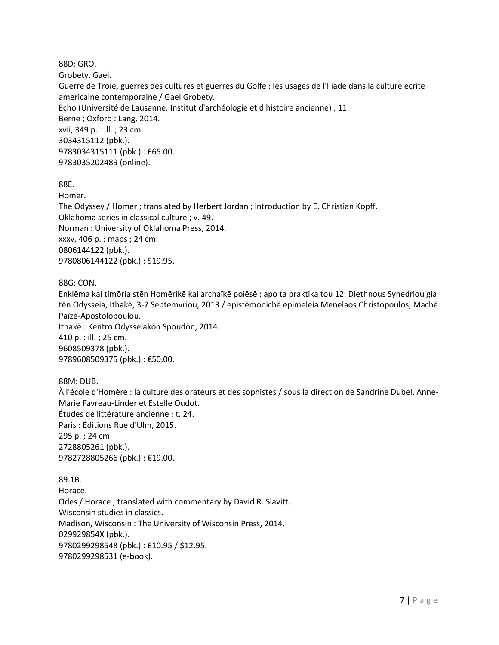88D: GRO. Grobety, Gael. Guerre de Troie, guerres des cultures et guerres du Golfe : les usages de l'Iliade dans la culture ecrite americaine contemporaine / Gael Grobety. Echo (Université de Lausanne. Institut d'archéologie et d'histoire ancienne) ; 11. Berne ; Oxford : Lang, 2014. xvii, 349 p. : ill. ; 23 cm. 3034315112 (pbk.). 9783034315111 (pbk.) : £65.00. 9783035202489 (online).

88E.

Homer.

The Odyssey / Homer ; translated by Herbert Jordan ; introduction by E. Christian Kopff. Oklahoma series in classical culture ; v. 49. Norman : University of Oklahoma Press, 2014. xxxv, 406 p. : maps ; 24 cm. 0806144122 (pbk.). 9780806144122 (pbk.) : \$19.95.

88G: CON.

Enklēma kai timōria stēn Homērikē kai archaïkē poiēsē : apo ta praktika tou 12. Diethnous Synedriou gia tēn Odysseia, Ithakē, 3-7 Septemvriou, 2013 / epistēmonichē epimeleia Menelaos Christopoulos, Machē Païzē-Apostolopoulou. Ithakē : Kentro Odysseiakōn Spoudōn, 2014. 410 p. : ill. ; 25 cm. 9608509378 (pbk.). 9789608509375 (pbk.) : €50.00.

88M: DUB.

À l'école d'Homère : la culture des orateurs et des sophistes / sous la direction de Sandrine Dubel, Anne-Marie Favreau-Linder et Estelle Oudot. Études de littérature ancienne ; t. 24. Paris : Éditions Rue d'Ulm, 2015. 295 p. ; 24 cm. 2728805261 (pbk.). 9782728805266 (pbk.) : €19.00.

89.1B. Horace. Odes / Horace ; translated with commentary by David R. Slavitt. Wisconsin studies in classics. Madison, Wisconsin : The University of Wisconsin Press, 2014. 029929854X (pbk.). 9780299298548 (pbk.) : £10.95 / \$12.95. 9780299298531 (e-book).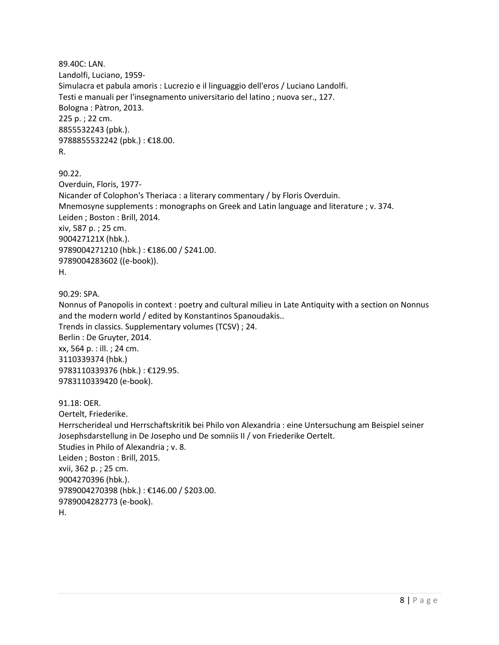89.40C: LAN. Landolfi, Luciano, 1959- Simulacra et pabula amoris : Lucrezio e il linguaggio dell'eros / Luciano Landolfi. Testi e manuali per l'insegnamento universitario del latino ; nuova ser., 127. Bologna : Pàtron, 2013. 225 p. ; 22 cm. 8855532243 (pbk.). 9788855532242 (pbk.) : €18.00. R.

90.22. Overduin, Floris, 1977- Nicander of Colophon's Theriaca : a literary commentary / by Floris Overduin. Mnemosyne supplements : monographs on Greek and Latin language and literature ; v. 374. Leiden ; Boston : Brill, 2014. xiv, 587 p. ; 25 cm. 900427121X (hbk.). 9789004271210 (hbk.) : €186.00 / \$241.00. 9789004283602 ((e-book)). H.

90.29: SPA.

Nonnus of Panopolis in context : poetry and cultural milieu in Late Antiquity with a section on Nonnus and the modern world / edited by Konstantinos Spanoudakis.. Trends in classics. Supplementary volumes (TCSV) ; 24. Berlin : De Gruyter, 2014. xx, 564 p. : ill. ; 24 cm. 3110339374 (hbk.) 9783110339376 (hbk.) : €129.95. 9783110339420 (e-book).

91.18: OER. Oertelt, Friederike. Herrscherideal und Herrschaftskritik bei Philo von Alexandria : eine Untersuchung am Beispiel seiner Josephsdarstellung in De Josepho und De somniis II / von Friederike Oertelt. Studies in Philo of Alexandria ; v. 8. Leiden ; Boston : Brill, 2015. xvii, 362 p. ; 25 cm. 9004270396 (hbk.). 9789004270398 (hbk.) : €146.00 / \$203.00. 9789004282773 (e-book). H.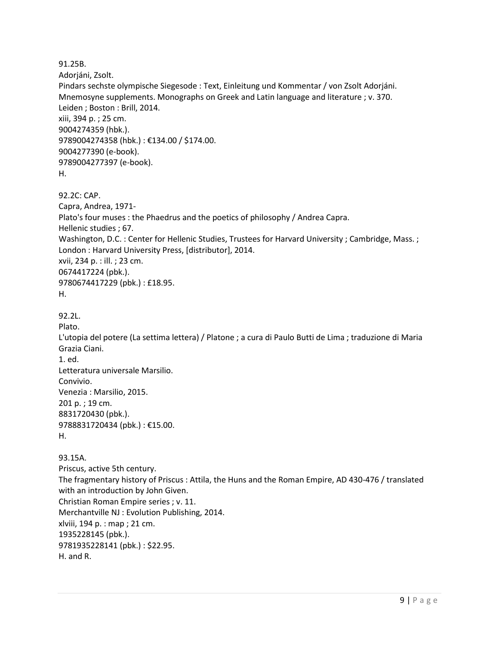91.25B. Adorjáni, Zsolt. Pindars sechste olympische Siegesode : Text, Einleitung und Kommentar / von Zsolt Adorjáni. Mnemosyne supplements. Monographs on Greek and Latin language and literature ; v. 370. Leiden ; Boston : Brill, 2014. xiii, 394 p. ; 25 cm. 9004274359 (hbk.). 9789004274358 (hbk.) : €134.00 / \$174.00. 9004277390 (e-book). 9789004277397 (e-book). H. 92.2C: CAP. Capra, Andrea, 1971- Plato's four muses : the Phaedrus and the poetics of philosophy / Andrea Capra. Hellenic studies ; 67. Washington, D.C. : Center for Hellenic Studies, Trustees for Harvard University ; Cambridge, Mass. ; London : Harvard University Press, [distributor], 2014. xvii, 234 p. : ill. ; 23 cm. 0674417224 (pbk.). 9780674417229 (pbk.) : £18.95. H. 92.2L. Plato. L'utopia del potere (La settima lettera) / Platone ; a cura di Paulo Butti de Lima ; traduzione di Maria Grazia Ciani. 1. ed. Letteratura universale Marsilio. Convivio. Venezia : Marsilio, 2015. 201 p. ; 19 cm. 8831720430 (pbk.). 9788831720434 (pbk.) : €15.00. H. 93.15A. Priscus, active 5th century. The fragmentary history of Priscus : Attila, the Huns and the Roman Empire, AD 430-476 / translated with an introduction by John Given. Christian Roman Empire series ; v. 11. Merchantville NJ : Evolution Publishing, 2014. xlviii, 194 p. : map ; 21 cm. 1935228145 (pbk.). 9781935228141 (pbk.) : \$22.95. H. and R.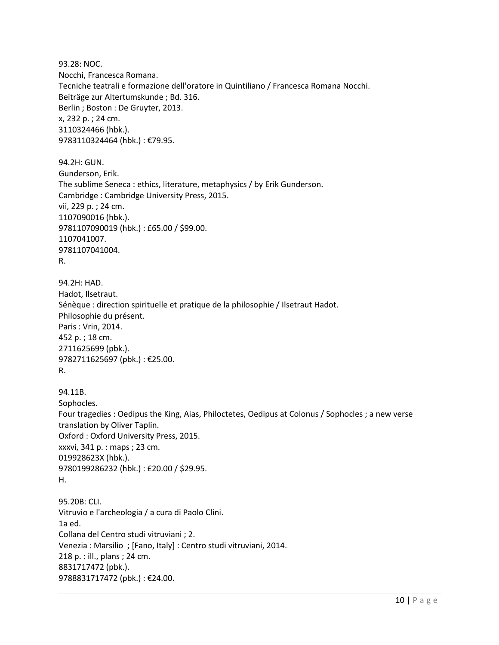93.28: NOC. Nocchi, Francesca Romana. Tecniche teatrali e formazione dell'oratore in Quintiliano / Francesca Romana Nocchi. Beiträge zur Altertumskunde ; Bd. 316. Berlin ; Boston : De Gruyter, 2013. x, 232 p. ; 24 cm. 3110324466 (hbk.). 9783110324464 (hbk.) : €79.95.

94.2H: GUN. Gunderson, Erik. The sublime Seneca : ethics, literature, metaphysics / by Erik Gunderson. Cambridge : Cambridge University Press, 2015. vii, 229 p. ; 24 cm. 1107090016 (hbk.). 9781107090019 (hbk.) : £65.00 / \$99.00. 1107041007. 9781107041004. R.

94.2H: HAD. Hadot, Ilsetraut. Sénèque : direction spirituelle et pratique de la philosophie / Ilsetraut Hadot. Philosophie du présent. Paris : Vrin, 2014. 452 p. ; 18 cm. 2711625699 (pbk.). 9782711625697 (pbk.) : €25.00. R.

94.11B. Sophocles. Four tragedies : Oedipus the King, Aias, Philoctetes, Oedipus at Colonus / Sophocles ; a new verse translation by Oliver Taplin. Oxford : Oxford University Press, 2015. xxxvi, 341 p. : maps ; 23 cm. 019928623X (hbk.). 9780199286232 (hbk.) : £20.00 / \$29.95. H.

95.20B: CLI. Vitruvio e l'archeologia / a cura di Paolo Clini. 1a ed. Collana del Centro studi vitruviani ; 2. Venezia : Marsilio ; [Fano, Italy] : Centro studi vitruviani, 2014. 218 p. : ill., plans ; 24 cm. 8831717472 (pbk.). 9788831717472 (pbk.) : €24.00.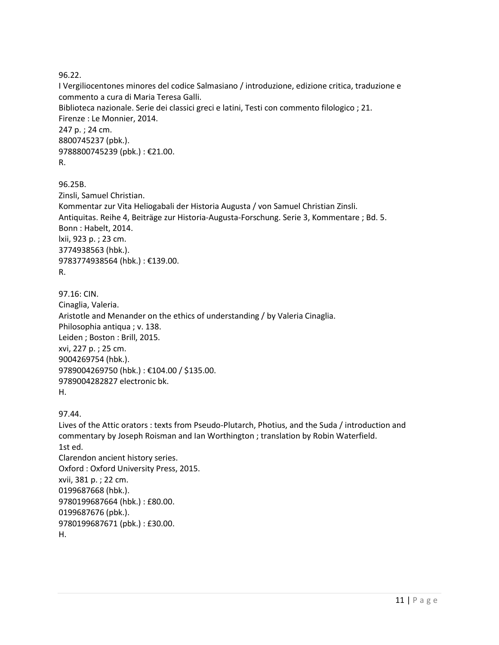96.22.

I Vergiliocentones minores del codice Salmasiano / introduzione, edizione critica, traduzione e commento a cura di Maria Teresa Galli. Biblioteca nazionale. Serie dei classici greci e latini, Testi con commento filologico ; 21. Firenze : Le Monnier, 2014. 247 p. ; 24 cm. 8800745237 (pbk.). 9788800745239 (pbk.) : €21.00. R.

96.25B. Zinsli, Samuel Christian. Kommentar zur Vita Heliogabali der Historia Augusta / von Samuel Christian Zinsli. Antiquitas. Reihe 4, Beiträge zur Historia-Augusta-Forschung. Serie 3, Kommentare ; Bd. 5. Bonn : Habelt, 2014. lxii, 923 p. ; 23 cm. 3774938563 (hbk.). 9783774938564 (hbk.) : €139.00. R.

97.16: CIN. Cinaglia, Valeria. Aristotle and Menander on the ethics of understanding / by Valeria Cinaglia. Philosophia antiqua ; v. 138. Leiden ; Boston : Brill, 2015. xvi, 227 p. ; 25 cm. 9004269754 (hbk.). 9789004269750 (hbk.) : €104.00 / \$135.00. 9789004282827 electronic bk. H.

97.44.

Lives of the Attic orators : texts from Pseudo-Plutarch, Photius, and the Suda / introduction and commentary by Joseph Roisman and Ian Worthington ; translation by Robin Waterfield. 1st ed. Clarendon ancient history series. Oxford : Oxford University Press, 2015. xvii, 381 p. ; 22 cm. 0199687668 (hbk.). 9780199687664 (hbk.) : £80.00. 0199687676 (pbk.). 9780199687671 (pbk.) : £30.00. H.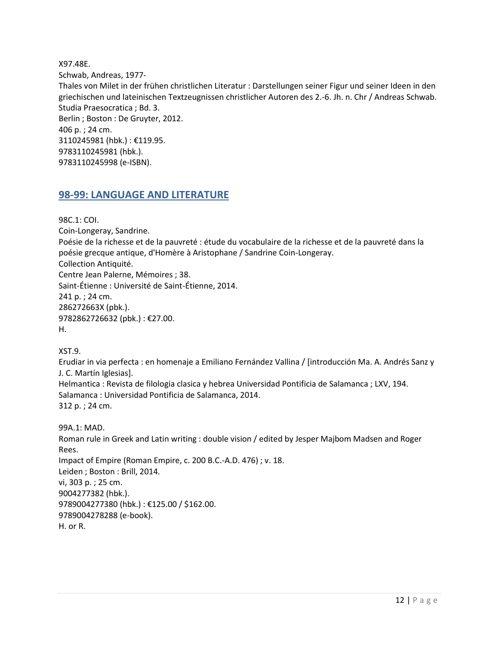X97.48E. Schwab, Andreas, 1977- Thales von Milet in der frühen christlichen Literatur : Darstellungen seiner Figur und seiner Ideen in den griechischen und lateinischen Textzeugnissen christlicher Autoren des 2.-6. Jh. n. Chr / Andreas Schwab. Studia Praesocratica ; Bd. 3. Berlin ; Boston : De Gruyter, 2012. 406 p. ; 24 cm. 3110245981 (hbk.) : €119.95. 9783110245981 (hbk.). 9783110245998 (e-ISBN).

#### <span id="page-11-0"></span>**98-99: LANGUAGE AND LITERATURE**

98C.1: COI. Coin-Longeray, Sandrine. Poésie de la richesse et de la pauvreté : étude du vocabulaire de la richesse et de la pauvreté dans la poésie grecque antique, d'Homère à Aristophane / Sandrine Coin-Longeray. Collection Antiquité. Centre Jean Palerne, Mémoires ; 38. Saint-Étienne : Université de Saint-Étienne, 2014. 241 p. ; 24 cm. 286272663X (pbk.). 9782862726632 (pbk.) : €27.00. H. XST.9.

Erudiar in via perfecta : en homenaje a Emiliano Fernández Vallina / [introducción Ma. A. Andrés Sanz y J. C. Martín Iglesias]. Helmantica : Revista de filologia clasica y hebrea Universidad Pontificia de Salamanca ; LXV, 194. Salamanca : Universidad Pontificia de Salamanca, 2014. 312 p. ; 24 cm.

99A.1: MAD. Roman rule in Greek and Latin writing : double vision / edited by Jesper Majbom Madsen and Roger Rees. Impact of Empire (Roman Empire, c. 200 B.C.-A.D. 476) ; v. 18. Leiden ; Boston : Brill, 2014. vi, 303 p. ; 25 cm. 9004277382 (hbk.). 9789004277380 (hbk.) : €125.00 / \$162.00. 9789004278288 (e-book). H. or R.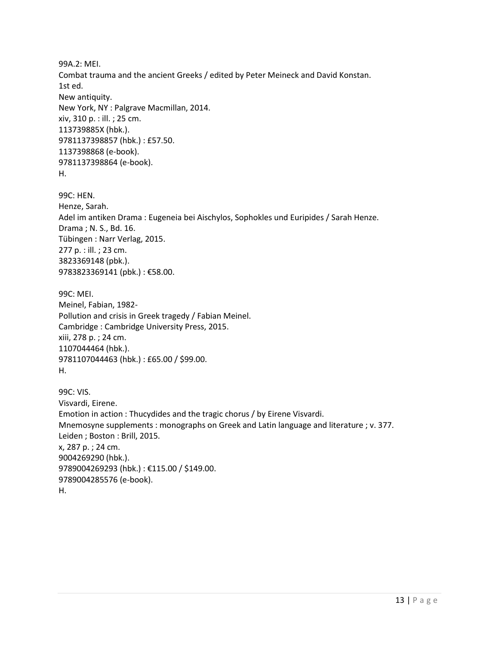99A.2: MEI. Combat trauma and the ancient Greeks / edited by Peter Meineck and David Konstan. 1st ed. New antiquity. New York, NY : Palgrave Macmillan, 2014. xiv, 310 p. : ill. ; 25 cm. 113739885X (hbk.). 9781137398857 (hbk.) : £57.50. 1137398868 (e-book). 9781137398864 (e-book). H.

99C: HEN. Henze, Sarah. Adel im antiken Drama : Eugeneia bei Aischylos, Sophokles und Euripides / Sarah Henze. Drama ; N. S., Bd. 16. Tübingen : Narr Verlag, 2015. 277 p. : ill. ; 23 cm. 3823369148 (pbk.). 9783823369141 (pbk.) : €58.00.

99C: MEI. Meinel, Fabian, 1982- Pollution and crisis in Greek tragedy / Fabian Meinel. Cambridge : Cambridge University Press, 2015. xiii, 278 p. ; 24 cm. 1107044464 (hbk.). 9781107044463 (hbk.) : £65.00 / \$99.00. H.

99C: VIS. Visvardi, Eirene. Emotion in action : Thucydides and the tragic chorus / by Eirene Visvardi. Mnemosyne supplements : monographs on Greek and Latin language and literature ; v. 377. Leiden ; Boston : Brill, 2015. x, 287 p. ; 24 cm. 9004269290 (hbk.). 9789004269293 (hbk.) : €115.00 / \$149.00. 9789004285576 (e-book). H.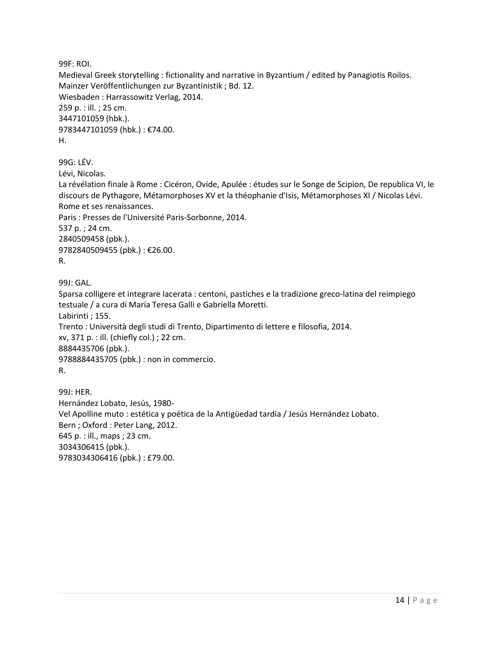99F: ROI. Medieval Greek storytelling : fictionality and narrative in Byzantium / edited by Panagiotis Roilos. Mainzer Veröffentlichungen zur Byzantinistik ; Bd. 12. Wiesbaden : Harrassowitz Verlag, 2014. 259 p. : ill. ; 25 cm. 3447101059 (hbk.). 9783447101059 (hbk.) : €74.00. H.

99G: LÉV. Lévi, Nicolas. La révélation finale à Rome : Cicéron, Ovide, Apulée : études sur le Songe de Scipion, De republica VI, le discours de Pythagore, Métamorphoses XV et la théophanie d'Isis, Métamorphoses XI / Nicolas Lévi. Rome et ses renaissances. Paris : Presses de l'Université Paris-Sorbonne, 2014. 537 p. ; 24 cm. 2840509458 (pbk.). 9782840509455 (pbk.) : €26.00. R.

99J: GAL. Sparsa colligere et integrare lacerata : centoni, pastiches e la tradizione greco-latina del reimpiego testuale / a cura di Maria Teresa Galli e Gabriella Moretti. Labirinti ; 155. Trento : Università degli studi di Trento, Dipartimento di lettere e filosofia, 2014. xv, 371 p. : ill. (chiefly col.) ; 22 cm. 8884435706 (pbk.). 9788884435705 (pbk.) : non in commercio. R.

99J: HER. Hernández Lobato, Jesús, 1980- Vel Apolline muto : estética y poética de la Antigüedad tardía / Jesús Hernández Lobato. Bern ; Oxford : Peter Lang, 2012. 645 p. : ill., maps ; 23 cm. 3034306415 (pbk.). 9783034306416 (pbk.) : £79.00.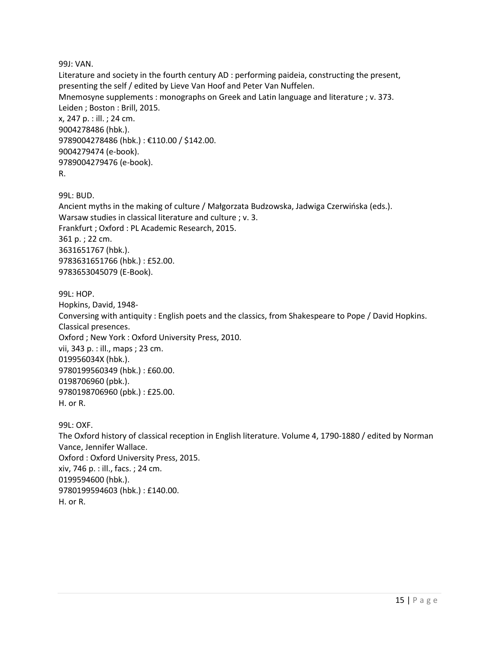99J: VAN.

Literature and society in the fourth century AD : performing paideia, constructing the present, presenting the self / edited by Lieve Van Hoof and Peter Van Nuffelen. Mnemosyne supplements : monographs on Greek and Latin language and literature ; v. 373. Leiden ; Boston : Brill, 2015. x, 247 p. : ill. ; 24 cm. 9004278486 (hbk.). 9789004278486 (hbk.) : €110.00 / \$142.00. 9004279474 (e-book). 9789004279476 (e-book). R.

99L: BUD.

Ancient myths in the making of culture / Małgorzata Budzowska, Jadwiga Czerwińska (eds.). Warsaw studies in classical literature and culture ; v. 3. Frankfurt ; Oxford : PL Academic Research, 2015. 361 p. ; 22 cm. 3631651767 (hbk.). 9783631651766 (hbk.) : £52.00. 9783653045079 (E-Book).

99L: HOP. Hopkins, David, 1948- Conversing with antiquity : English poets and the classics, from Shakespeare to Pope / David Hopkins. Classical presences. Oxford ; New York : Oxford University Press, 2010. vii, 343 p. : ill., maps ; 23 cm. 019956034X (hbk.). 9780199560349 (hbk.) : £60.00.

0198706960 (pbk.). 9780198706960 (pbk.) : £25.00. H. or R.

99L: OXF. The Oxford history of classical reception in English literature. Volume 4, 1790-1880 / edited by Norman Vance, Jennifer Wallace. Oxford : Oxford University Press, 2015. xiv, 746 p. : ill., facs. ; 24 cm. 0199594600 (hbk.). 9780199594603 (hbk.) : £140.00. H. or R.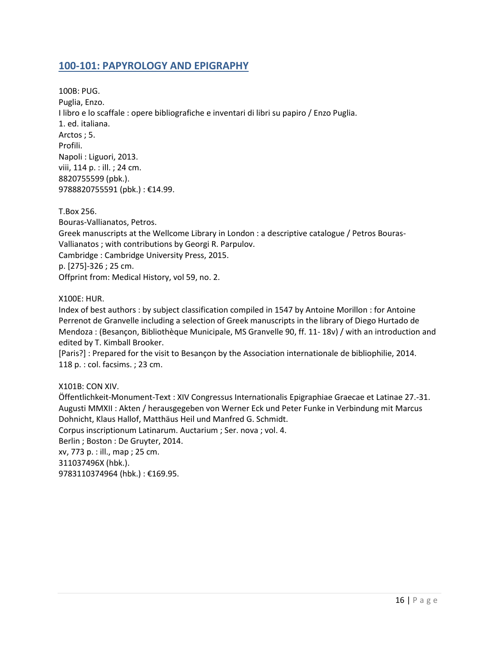#### <span id="page-15-0"></span>**100-101: PAPYROLOGY AND EPIGRAPHY**

100B: PUG. Puglia, Enzo. I libro e lo scaffale : opere bibliografiche e inventari di libri su papiro / Enzo Puglia. 1. ed. italiana. Arctos ; 5. Profili. Napoli : Liguori, 2013. viii, 114 p. : ill. ; 24 cm. 8820755599 (pbk.). 9788820755591 (pbk.) : €14.99.

T.Box 256. Bouras-Vallianatos, Petros. Greek manuscripts at the Wellcome Library in London : a descriptive catalogue / Petros Bouras-Vallianatos ; with contributions by Georgi R. Parpulov. Cambridge : Cambridge University Press, 2015. p. [275]-326 ; 25 cm. Offprint from: Medical History, vol 59, no. 2.

X100E: HUR.

Index of best authors : by subject classification compiled in 1547 by Antoine Morillon : for Antoine Perrenot de Granvelle including a selection of Greek manuscripts in the library of Diego Hurtado de Mendoza : (Besançon, Bibliothèque Municipale, MS Granvelle 90, ff. 11- 18v) / with an introduction and edited by T. Kimball Brooker.

[Paris?] : Prepared for the visit to Besançon by the Association internationale de bibliophilie, 2014. 118 p. : col. facsims. ; 23 cm.

X101B: CON XIV.

Öffentlichkeit-Monument-Text : XIV Congressus Internationalis Epigraphiae Graecae et Latinae 27.-31. Augusti MMXII : Akten / herausgegeben von Werner Eck und Peter Funke in Verbindung mit Marcus Dohnicht, Klaus Hallof, Matthäus Heil und Manfred G. Schmidt. Corpus inscriptionum Latinarum. Auctarium ; Ser. nova ; vol. 4. Berlin ; Boston : De Gruyter, 2014. xv, 773 p. : ill., map ; 25 cm. 311037496X (hbk.). 9783110374964 (hbk.) : €169.95.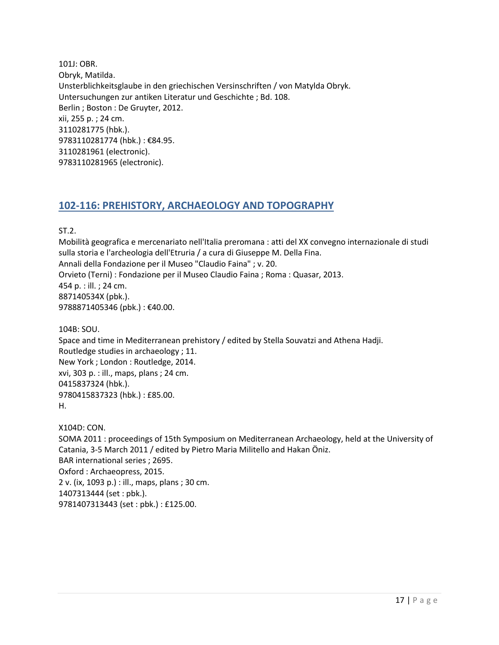101J: OBR. Obryk, Matilda. Unsterblichkeitsglaube in den griechischen Versinschriften / von Matylda Obryk. Untersuchungen zur antiken Literatur und Geschichte ; Bd. 108. Berlin ; Boston : De Gruyter, 2012. xii, 255 p. ; 24 cm. 3110281775 (hbk.). 9783110281774 (hbk.) : €84.95. 3110281961 (electronic). 9783110281965 (electronic).

#### <span id="page-16-0"></span>**102-116: PREHISTORY, ARCHAEOLOGY AND TOPOGRAPHY**

ST.2.

Mobilità geografica e mercenariato nell'Italia preromana : atti del XX convegno internazionale di studi sulla storia e l'archeologia dell'Etruria / a cura di Giuseppe M. Della Fina. Annali della Fondazione per il Museo "Claudio Faina" ; v. 20. Orvieto (Terni) : Fondazione per il Museo Claudio Faina ; Roma : Quasar, 2013. 454 p. : ill. ; 24 cm. 887140534X (pbk.). 9788871405346 (pbk.) : €40.00.

104B: SOU. Space and time in Mediterranean prehistory / edited by Stella Souvatzi and Athena Hadji. Routledge studies in archaeology ; 11. New York ; London : Routledge, 2014. xvi, 303 p. : ill., maps, plans ; 24 cm. 0415837324 (hbk.). 9780415837323 (hbk.) : £85.00. H.

X104D: CON. SOMA 2011 : proceedings of 15th Symposium on Mediterranean Archaeology, held at the University of Catania, 3-5 March 2011 / edited by Pietro Maria Militello and Hakan Öniz. BAR international series ; 2695. Oxford : Archaeopress, 2015. 2 v. (ix, 1093 p.) : ill., maps, plans ; 30 cm. 1407313444 (set : pbk.). 9781407313443 (set : pbk.) : £125.00.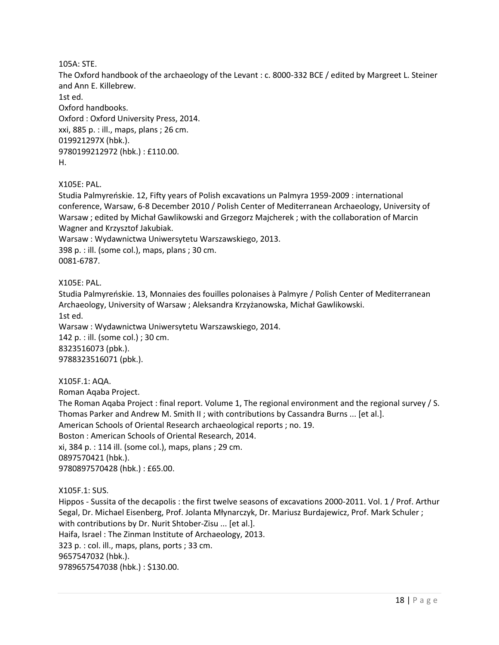105A: STE.

The Oxford handbook of the archaeology of the Levant : c. 8000-332 BCE / edited by Margreet L. Steiner and Ann E. Killebrew. 1st ed.

Oxford handbooks. Oxford : Oxford University Press, 2014. xxi, 885 p. : ill., maps, plans ; 26 cm. 019921297X (hbk.). 9780199212972 (hbk.) : £110.00. H.

X105E: PAL.

Studia Palmyreńskie. 12, Fifty years of Polish excavations un Palmyra 1959-2009 : international conference, Warsaw, 6-8 December 2010 / Polish Center of Mediterranean Archaeology, University of Warsaw ; edited by Michał Gawlikowski and Grzegorz Majcherek ; with the collaboration of Marcin Wagner and Krzysztof Jakubiak.

Warsaw : Wydawnictwa Uniwersytetu Warszawskiego, 2013. 398 p. : ill. (some col.), maps, plans ; 30 cm. 0081-6787.

X105E: PAL.

Studia Palmyreńskie. 13, Monnaies des fouilles polonaises à Palmyre / Polish Center of Mediterranean Archaeology, University of Warsaw ; Aleksandra Krzyżanowska, Michał Gawlikowski. 1st ed.

Warsaw : Wydawnictwa Uniwersytetu Warszawskiego, 2014. 142 p. : ill. (some col.) ; 30 cm. 8323516073 (pbk.). 9788323516071 (pbk.).

X105F.1: AQA.

Roman Aqaba Project.

The Roman Aqaba Project : final report. Volume 1, The regional environment and the regional survey / S. Thomas Parker and Andrew M. Smith II ; with contributions by Cassandra Burns ... [et al.]. American Schools of Oriental Research archaeological reports ; no. 19. Boston : American Schools of Oriental Research, 2014. xi, 384 p. : 114 ill. (some col.), maps, plans ; 29 cm. 0897570421 (hbk.). 9780897570428 (hbk.) : £65.00.

X105F.1: SUS.

Hippos - Sussita of the decapolis : the first twelve seasons of excavations 2000-2011. Vol. 1 / Prof. Arthur Segal, Dr. Michael Eisenberg, Prof. Jolanta Młynarczyk, Dr. Mariusz Burdajewicz, Prof. Mark Schuler ; with contributions by Dr. Nurit Shtober-Zisu ... [et al.]. Haifa, Israel : The Zinman Institute of Archaeology, 2013. 323 p. : col. ill., maps, plans, ports ; 33 cm. 9657547032 (hbk.). 9789657547038 (hbk.) : \$130.00.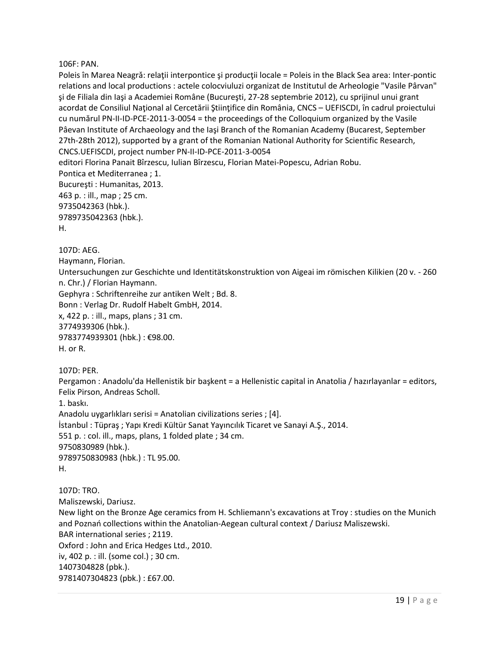#### 106F: PAN.

Poleis în Marea Neagrǎ: relaţii interpontice şi producţii locale = Poleis in the Black Sea area: Inter-pontic relations and local productions : actele colocviuluzi organizat de Institutul de Arheologie "Vasile Pârvan" şi de Filiala din Iaşi a Academiei Române (Bucureşti, 27-28 septembrie 2012), cu sprijinul unui grant acordat de Consiliul Național al Cercetării Științifice din România, CNCS – UEFISCDI, în cadrul proiectului cu numărul PN-II-ID-PCE-2011-3-0054 = the proceedings of the Colloquium organized by the Vasile Pâevan Institute of Archaeology and the Iaşi Branch of the Romanian Academy (Bucarest, September 27th-28th 2012), supported by a grant of the Romanian National Authority for Scientific Research, CNCS.UEFISCDI, project number PN-II-ID-PCE-2011-3-0054 editori Florina Panait Bîrzescu, Iulian Bîrzescu, Florian Matei-Popescu, Adrian Robu. Pontica et Mediterranea ; 1. Bucureşti : Humanitas, 2013. 463 p. : ill., map ; 25 cm. 9735042363 (hbk.). 9789735042363 (hbk.). H.

107D: AEG.

Haymann, Florian.

Untersuchungen zur Geschichte und Identitätskonstruktion von Aigeai im römischen Kilikien (20 v. - 260 n. Chr.) / Florian Haymann.

Gephyra : Schriftenreihe zur antiken Welt ; Bd. 8.

Bonn : Verlag Dr. Rudolf Habelt GmbH, 2014.

x, 422 p. : ill., maps, plans ; 31 cm. 3774939306 (hbk.). 9783774939301 (hbk.) : €98.00.

H. or R.

107D: PER.

Pergamon : Anadolu'da Hellenistik bir başkent = a Hellenistic capital in Anatolia / hazırlayanlar = editors, Felix Pirson, Andreas Scholl.

1. baskı.

Anadolu uygarlıkları serisi = Anatolian civilizations series ; [4]. İstanbul : Tüpraş ; Yapı Kredi Kültür Sanat Yayıncılık Ticaret ve Sanayi A.Ş., 2014. 551 p. : col. ill., maps, plans, 1 folded plate ; 34 cm. 9750830989 (hbk.). 9789750830983 (hbk.) : TL 95.00. H.

107D: TRO. Maliszewski, Dariusz. New light on the Bronze Age ceramics from H. Schliemann's excavations at Troy : studies on the Munich and Poznań collections within the Anatolian-Aegean cultural context / Dariusz Maliszewski. BAR international series ; 2119. Oxford : John and Erica Hedges Ltd., 2010. iv, 402 p. : ill. (some col.) ; 30 cm. 1407304828 (pbk.). 9781407304823 (pbk.) : £67.00.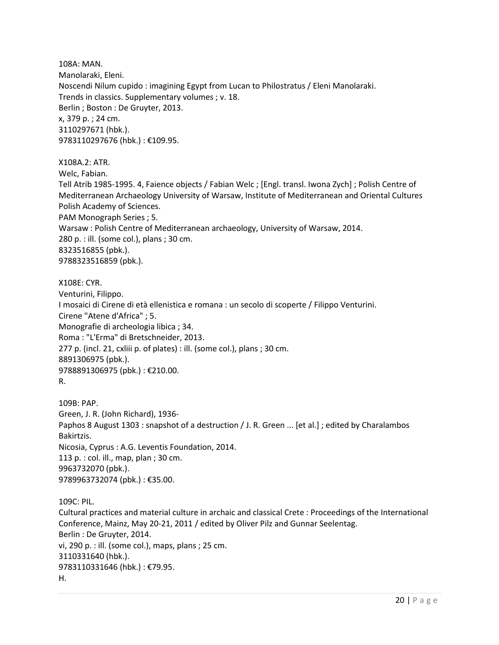108A: MAN. Manolaraki, Eleni. Noscendi Nilum cupido : imagining Egypt from Lucan to Philostratus / Eleni Manolaraki. Trends in classics. Supplementary volumes ; v. 18. Berlin ; Boston : De Gruyter, 2013. x, 379 p. ; 24 cm. 3110297671 (hbk.). 9783110297676 (hbk.) : €109.95.

X108A.2: ATR.

Welc, Fabian.

Tell Atrib 1985-1995. 4, Faience objects / Fabian Welc ; [Engl. transl. Iwona Zych] ; Polish Centre of Mediterranean Archaeology University of Warsaw, Institute of Mediterranean and Oriental Cultures Polish Academy of Sciences. PAM Monograph Series ; 5. Warsaw : Polish Centre of Mediterranean archaeology, University of Warsaw, 2014.

280 p. : ill. (some col.), plans ; 30 cm.

8323516855 (pbk.).

9788323516859 (pbk.).

X108E: CYR.

Venturini, Filippo. I mosaici di Cirene di età ellenistica e romana : un secolo di scoperte / Filippo Venturini. Cirene "Atene d'Africa" ; 5. Monografie di archeologia libica ; 34. Roma : "L'Erma" di Bretschneider, 2013. 277 p. (incl. 21, cxliii p. of plates) : ill. (some col.), plans ; 30 cm. 8891306975 (pbk.). 9788891306975 (pbk.) : €210.00.

R.

109B: PAP. Green, J. R. (John Richard), 1936- Paphos 8 August 1303 : snapshot of a destruction / J. R. Green ... [et al.] ; edited by Charalambos Bakirtzis. Nicosia, Cyprus : A.G. Leventis Foundation, 2014. 113 p. : col. ill., map, plan ; 30 cm. 9963732070 (pbk.). 9789963732074 (pbk.) : €35.00.

109C: PIL. Cultural practices and material culture in archaic and classical Crete : Proceedings of the International Conference, Mainz, May 20-21, 2011 / edited by Oliver Pilz and Gunnar Seelentag. Berlin : De Gruyter, 2014. vi, 290 p. : ill. (some col.), maps, plans ; 25 cm. 3110331640 (hbk.). 9783110331646 (hbk.) : €79.95. H.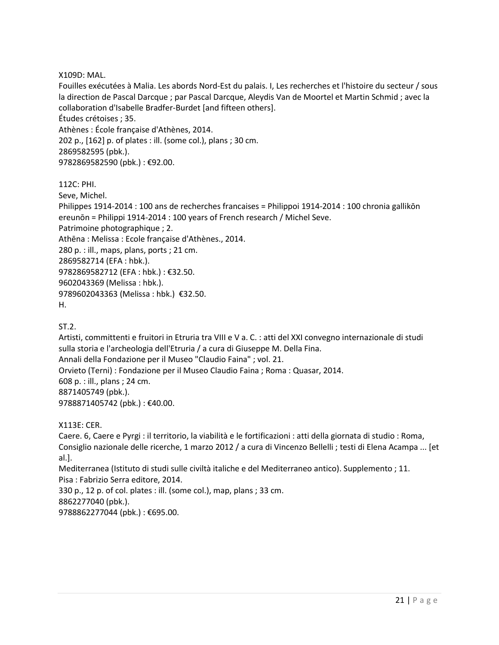X109D: MAL.

Fouilles exécutées à Malia. Les abords Nord-Est du palais. I, Les recherches et l'histoire du secteur / sous la direction de Pascal Darcque ; par Pascal Darcque, Aleydis Van de Moortel et Martin Schmid ; avec la collaboration d'Isabelle Bradfer-Burdet [and fifteen others]. Études crétoises ; 35. Athènes : École française d'Athènes, 2014. 202 p., [162] p. of plates : ill. (some col.), plans ; 30 cm. 2869582595 (pbk.). 9782869582590 (pbk.) : €92.00.

112C: PHI.

Seve, Michel. Philippes 1914-2014 : 100 ans de recherches francaises = Philippoi 1914-2014 : 100 chronia gallikōn ereunōn = Philippi 1914-2014 : 100 years of French research / Michel Seve. Patrimoine photographique ; 2. Athēna : Melissa : Ecole française d'Athènes., 2014. 280 p. : ill., maps, plans, ports ; 21 cm. 2869582714 (EFA : hbk.). 9782869582712 (EFA : hbk.) : €32.50. 9602043369 (Melissa : hbk.). 9789602043363 (Melissa : hbk.) €32.50. H.

ST.2.

Artisti, committenti e fruitori in Etruria tra VIII e V a. C. : atti del XXI convegno internazionale di studi sulla storia e l'archeologia dell'Etruria / a cura di Giuseppe M. Della Fina. Annali della Fondazione per il Museo "Claudio Faina" ; vol. 21. Orvieto (Terni) : Fondazione per il Museo Claudio Faina ; Roma : Quasar, 2014. 608 p. : ill., plans ; 24 cm. 8871405749 (pbk.). 9788871405742 (pbk.) : €40.00.

X113E: CER.

Caere. 6, Caere e Pyrgi : il territorio, la viabilità e le fortificazioni : atti della giornata di studio : Roma, Consiglio nazionale delle ricerche, 1 marzo 2012 / a cura di Vincenzo Bellelli ; testi di Elena Acampa ... [et al.].

Mediterranea (Istituto di studi sulle civiltà italiche e del Mediterraneo antico). Supplemento ; 11. Pisa : Fabrizio Serra editore, 2014.

330 p., 12 p. of col. plates : ill. (some col.), map, plans ; 33 cm. 8862277040 (pbk.). 9788862277044 (pbk.) : €695.00.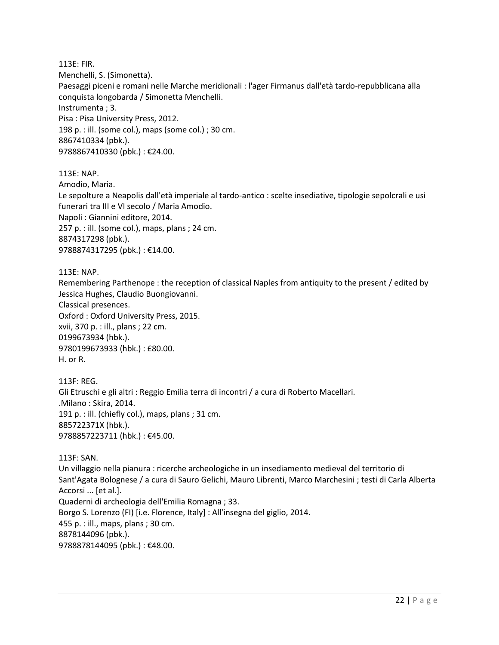113E: FIR. Menchelli, S. (Simonetta). Paesaggi piceni e romani nelle Marche meridionali : l'ager Firmanus dall'età tardo-repubblicana alla conquista longobarda / Simonetta Menchelli. Instrumenta ; 3. Pisa : Pisa University Press, 2012. 198 p. : ill. (some col.), maps (some col.) ; 30 cm. 8867410334 (pbk.). 9788867410330 (pbk.) : €24.00.

113E: NAP. Amodio, Maria. Le sepolture a Neapolis dall'età imperiale al tardo-antico : scelte insediative, tipologie sepolcrali e usi funerari tra III e VI secolo / Maria Amodio. Napoli : Giannini editore, 2014. 257 p. : ill. (some col.), maps, plans ; 24 cm. 8874317298 (pbk.). 9788874317295 (pbk.) : €14.00.

113E: NAP.

Remembering Parthenope : the reception of classical Naples from antiquity to the present / edited by Jessica Hughes, Claudio Buongiovanni. Classical presences. Oxford : Oxford University Press, 2015. xvii, 370 p. : ill., plans ; 22 cm. 0199673934 (hbk.). 9780199673933 (hbk.) : £80.00. H. or R.

113F: REG. Gli Etruschi e gli altri : Reggio Emilia terra di incontri / a cura di Roberto Macellari. .Milano : Skira, 2014. 191 p. : ill. (chiefly col.), maps, plans ; 31 cm. 885722371X (hbk.). 9788857223711 (hbk.) : €45.00.

113F: SAN. Un villaggio nella pianura : ricerche archeologiche in un insediamento medieval del territorio di Sant'Agata Bolognese / a cura di Sauro Gelichi, Mauro Librenti, Marco Marchesini ; testi di Carla Alberta Accorsi ... [et al.]. Quaderni di archeologia dell'Emilia Romagna ; 33. Borgo S. Lorenzo (FI) [i.e. Florence, Italy] : All'insegna del giglio, 2014. 455 p. : ill., maps, plans ; 30 cm. 8878144096 (pbk.). 9788878144095 (pbk.) : €48.00.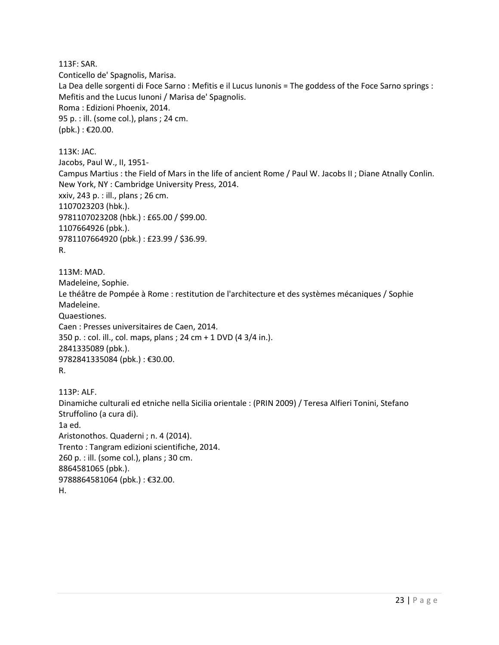113F: SAR. Conticello de' Spagnolis, Marisa. La Dea delle sorgenti di Foce Sarno : Mefitis e il Lucus Iunonis = The goddess of the Foce Sarno springs : Mefitis and the Lucus Iunoni / Marisa de' Spagnolis. Roma : Edizioni Phoenix, 2014. 95 p. : ill. (some col.), plans ; 24 cm. (pbk.) : €20.00.

113K: JAC. Jacobs, Paul W., II, 1951- Campus Martius : the Field of Mars in the life of ancient Rome / Paul W. Jacobs II ; Diane Atnally Conlin. New York, NY : Cambridge University Press, 2014. xxiv, 243 p. : ill., plans ; 26 cm. 1107023203 (hbk.). 9781107023208 (hbk.) : £65.00 / \$99.00. 1107664926 (pbk.). 9781107664920 (pbk.) : £23.99 / \$36.99. R.

113M: MAD. Madeleine, Sophie. Le théâtre de Pompée à Rome : restitution de l'architecture et des systèmes mécaniques / Sophie Madeleine. Quaestiones. Caen : Presses universitaires de Caen, 2014. 350 p. : col. ill., col. maps, plans ; 24 cm + 1 DVD (4 3/4 in.). 2841335089 (pbk.). 9782841335084 (pbk.) : €30.00. R.

113P: ALF. Dinamiche culturali ed etniche nella Sicilia orientale : (PRIN 2009) / Teresa Alfieri Tonini, Stefano Struffolino (a cura di). 1a ed. Aristonothos. Quaderni ; n. 4 (2014). Trento : Tangram edizioni scientifiche, 2014. 260 p. : ill. (some col.), plans ; 30 cm. 8864581065 (pbk.). 9788864581064 (pbk.) : €32.00. H.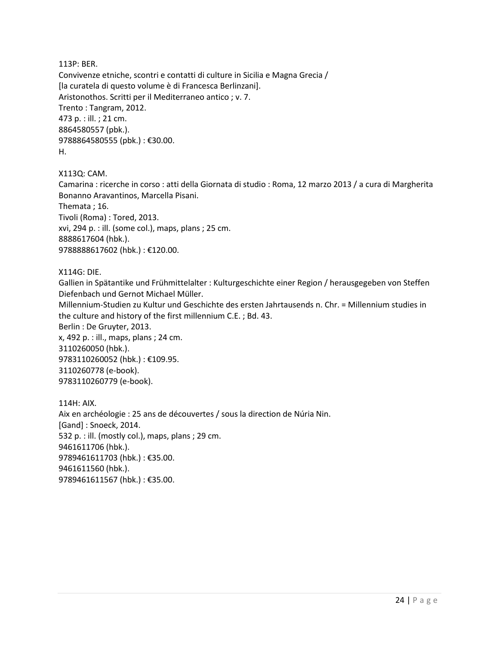113P: BER.

Convivenze etniche, scontri e contatti di culture in Sicilia e Magna Grecia / [la curatela di questo volume è di Francesca Berlinzani]. Aristonothos. Scritti per il Mediterraneo antico ; v. 7. Trento : Tangram, 2012. 473 p. : ill. ; 21 cm. 8864580557 (pbk.). 9788864580555 (pbk.) : €30.00. H.

X113Q: CAM.

Camarina : ricerche in corso : atti della Giornata di studio : Roma, 12 marzo 2013 / a cura di Margherita Bonanno Aravantinos, Marcella Pisani. Themata ; 16. Tivoli (Roma) : Tored, 2013. xvi, 294 p. : ill. (some col.), maps, plans ; 25 cm.

8888617604 (hbk.). 9788888617602 (hbk.) : €120.00.

X114G: DIE.

Gallien in Spätantike und Frühmittelalter : Kulturgeschichte einer Region / herausgegeben von Steffen Diefenbach und Gernot Michael Müller.

Millennium-Studien zu Kultur und Geschichte des ersten Jahrtausends n. Chr. = Millennium studies in the culture and history of the first millennium C.E. ; Bd. 43.

Berlin : De Gruyter, 2013.

x, 492 p. : ill., maps, plans ; 24 cm. 3110260050 (hbk.). 9783110260052 (hbk.) : €109.95. 3110260778 (e-book). 9783110260779 (e-book).

114H: AIX. Aix en archéologie : 25 ans de découvertes / sous la direction de Núria Nin. [Gand] : Snoeck, 2014. 532 p. : ill. (mostly col.), maps, plans ; 29 cm. 9461611706 (hbk.). 9789461611703 (hbk.) : €35.00. 9461611560 (hbk.). 9789461611567 (hbk.) : €35.00.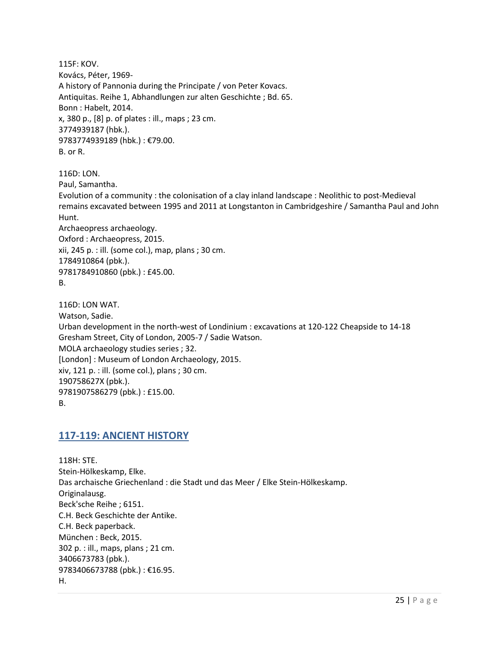115F: KOV. Kovács, Péter, 1969- A history of Pannonia during the Principate / von Peter Kovacs. Antiquitas. Reihe 1, Abhandlungen zur alten Geschichte ; Bd. 65. Bonn : Habelt, 2014. x, 380 p., [8] p. of plates : ill., maps ; 23 cm. 3774939187 (hbk.). 9783774939189 (hbk.) : €79.00. B. or R.

116D: LON. Paul, Samantha. Evolution of a community : the colonisation of a clay inland landscape : Neolithic to post-Medieval remains excavated between 1995 and 2011 at Longstanton in Cambridgeshire / Samantha Paul and John Hunt. Archaeopress archaeology. Oxford : Archaeopress, 2015. xii, 245 p. : ill. (some col.), map, plans ; 30 cm. 1784910864 (pbk.). 9781784910860 (pbk.) : £45.00. B.

116D: LON WAT. Watson, Sadie. Urban development in the north-west of Londinium : excavations at 120-122 Cheapside to 14-18 Gresham Street, City of London, 2005-7 / Sadie Watson. MOLA archaeology studies series ; 32. [London] : Museum of London Archaeology, 2015. xiv, 121 p. : ill. (some col.), plans ; 30 cm. 190758627X (pbk.). 9781907586279 (pbk.) : £15.00. B.

#### <span id="page-24-0"></span>**117-119: ANCIENT HISTORY**

118H: STE. Stein-Hölkeskamp, Elke. Das archaische Griechenland : die Stadt und das Meer / Elke Stein-Hölkeskamp. Originalausg. Beck'sche Reihe ; 6151. C.H. Beck Geschichte der Antike. C.H. Beck paperback. München : Beck, 2015. 302 p. : ill., maps, plans ; 21 cm. 3406673783 (pbk.). 9783406673788 (pbk.): €16.95. H.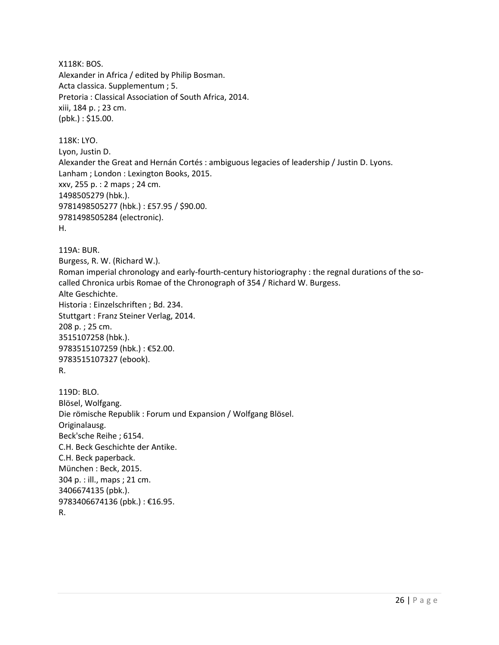X118K: BOS. Alexander in Africa / edited by Philip Bosman. Acta classica. Supplementum ; 5. Pretoria : Classical Association of South Africa, 2014. xiii, 184 p. ; 23 cm. (pbk.) : \$15.00.

118K: LYO. Lyon, Justin D. Alexander the Great and Hernán Cortés : ambiguous legacies of leadership / Justin D. Lyons. Lanham ; London : Lexington Books, 2015. xxv, 255 p. : 2 maps ; 24 cm. 1498505279 (hbk.). 9781498505277 (hbk.) : £57.95 / \$90.00. 9781498505284 (electronic). H.

119A: BUR. Burgess, R. W. (Richard W.). Roman imperial chronology and early-fourth-century historiography : the regnal durations of the socalled Chronica urbis Romae of the Chronograph of 354 / Richard W. Burgess. Alte Geschichte. Historia : Einzelschriften ; Bd. 234. Stuttgart : Franz Steiner Verlag, 2014. 208 p. ; 25 cm. 3515107258 (hbk.). 9783515107259 (hbk.) : €52.00. 9783515107327 (ebook).

```
R.
```
119D: BLO. Blösel, Wolfgang. Die römische Republik : Forum und Expansion / Wolfgang Blösel. Originalausg. Beck'sche Reihe ; 6154. C.H. Beck Geschichte der Antike. C.H. Beck paperback. München : Beck, 2015. 304 p. : ill., maps ; 21 cm. 3406674135 (pbk.). 9783406674136 (pbk.) : €16.95. R.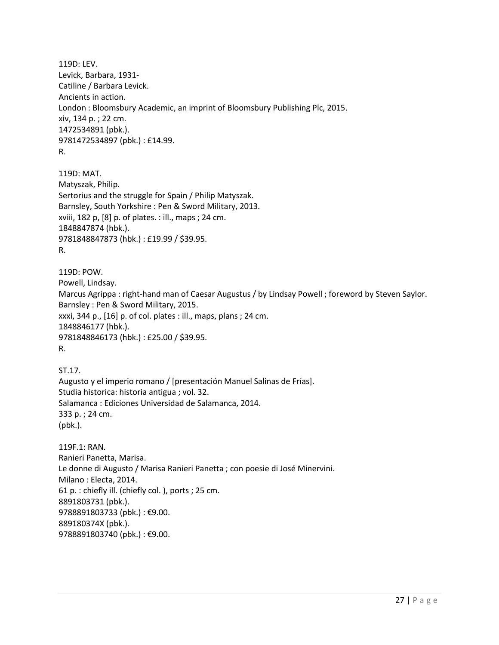119D: LEV. Levick, Barbara, 1931- Catiline / Barbara Levick. Ancients in action. London : Bloomsbury Academic, an imprint of Bloomsbury Publishing Plc, 2015. xiv, 134 p. ; 22 cm. 1472534891 (pbk.). 9781472534897 (pbk.) : £14.99. R.

119D: MAT. Matyszak, Philip. Sertorius and the struggle for Spain / Philip Matyszak. Barnsley, South Yorkshire : Pen & Sword Military, 2013. xviii, 182 p, [8] p. of plates. : ill., maps ; 24 cm. 1848847874 (hbk.). 9781848847873 (hbk.) : £19.99 / \$39.95. R.

119D: POW. Powell, Lindsay. Marcus Agrippa : right-hand man of Caesar Augustus / by Lindsay Powell ; foreword by Steven Saylor. Barnsley : Pen & Sword Military, 2015. xxxi, 344 p., [16] p. of col. plates : ill., maps, plans ; 24 cm. 1848846177 (hbk.). 9781848846173 (hbk.) : £25.00 / \$39.95. R.

ST.17. Augusto y el imperio romano / [presentación Manuel Salinas de Frías]. Studia historica: historia antigua ; vol. 32. Salamanca : Ediciones Universidad de Salamanca, 2014. 333 p. ; 24 cm. (pbk.).

119F.1: RAN. Ranieri Panetta, Marisa. Le donne di Augusto / Marisa Ranieri Panetta ; con poesie di José Minervini. Milano : Electa, 2014. 61 p. : chiefly ill. (chiefly col. ), ports ; 25 cm. 8891803731 (pbk.). 9788891803733 (pbk.) : €9.00. 889180374X (pbk.). 9788891803740 (pbk.) : €9.00.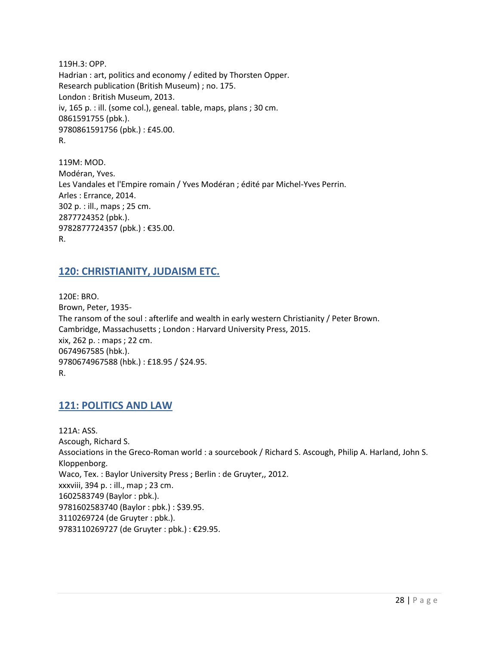119H.3: OPP. Hadrian : art, politics and economy / edited by Thorsten Opper. Research publication (British Museum) ; no. 175. London : British Museum, 2013. iv, 165 p. : ill. (some col.), geneal. table, maps, plans ; 30 cm. 0861591755 (pbk.). 9780861591756 (pbk.) : £45.00. R.

119M: MOD. Modéran, Yves. Les Vandales et l'Empire romain / Yves Modéran ; édité par Michel-Yves Perrin. Arles : Errance, 2014. 302 p. : ill., maps ; 25 cm. 2877724352 (pbk.). 9782877724357 (pbk.) : €35.00. R.

#### <span id="page-27-0"></span>**120: CHRISTIANITY, JUDAISM ETC.**

120E: BRO. Brown, Peter, 1935- The ransom of the soul : afterlife and wealth in early western Christianity / Peter Brown. Cambridge, Massachusetts ; London : Harvard University Press, 2015. xix, 262 p. : maps ; 22 cm. 0674967585 (hbk.). 9780674967588 (hbk.) : £18.95 / \$24.95. R.

#### <span id="page-27-1"></span>**121: POLITICS AND LAW**

121A: ASS. Ascough, Richard S. Associations in the Greco-Roman world : a sourcebook / Richard S. Ascough, Philip A. Harland, John S. Kloppenborg. Waco, Tex. : Baylor University Press ; Berlin : de Gruyter,, 2012. xxxviii, 394 p. : ill., map ; 23 cm. 1602583749 (Baylor : pbk.). 9781602583740 (Baylor : pbk.) : \$39.95. 3110269724 (de Gruyter : pbk.). 9783110269727 (de Gruyter : pbk.) : €29.95.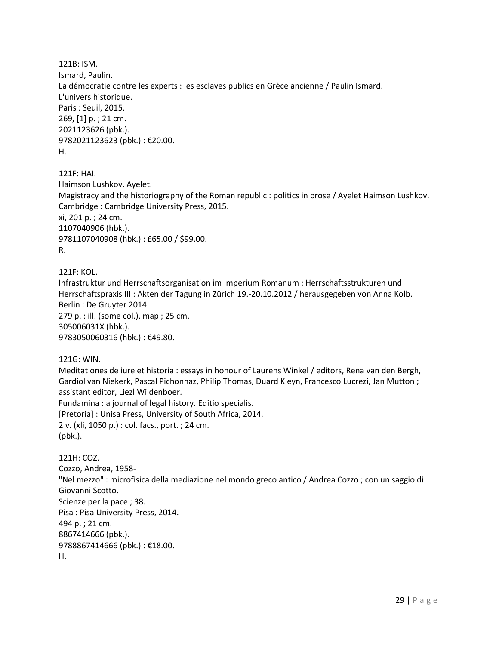121B: ISM. Ismard, Paulin. La démocratie contre les experts : les esclaves publics en Grèce ancienne / Paulin Ismard. L'univers historique. Paris : Seuil, 2015. 269, [1] p. ; 21 cm. 2021123626 (pbk.). 9782021123623 (pbk.) : €20.00. H.

121F: HAI. Haimson Lushkov, Ayelet. Magistracy and the historiography of the Roman republic : politics in prose / Ayelet Haimson Lushkov. Cambridge : Cambridge University Press, 2015. xi, 201 p. ; 24 cm. 1107040906 (hbk.). 9781107040908 (hbk.) : £65.00 / \$99.00. R.

121F: KOL. Infrastruktur und Herrschaftsorganisation im Imperium Romanum : Herrschaftsstrukturen und Herrschaftspraxis III : Akten der Tagung in Zürich 19.-20.10.2012 / herausgegeben von Anna Kolb. Berlin : De Gruyter 2014. 279 p. : ill. (some col.), map ; 25 cm. 305006031X (hbk.). 9783050060316 (hbk.) : €49.80.

121G: WIN. Meditationes de iure et historia : essays in honour of Laurens Winkel / editors, Rena van den Bergh, Gardiol van Niekerk, Pascal Pichonnaz, Philip Thomas, Duard Kleyn, Francesco Lucrezi, Jan Mutton ; assistant editor, Liezl Wildenboer. Fundamina : a journal of legal history. Editio specialis. [Pretoria] : Unisa Press, University of South Africa, 2014. 2 v. (xli, 1050 p.) : col. facs., port. ; 24 cm. (pbk.).

121H: COZ. Cozzo, Andrea, 1958- "Nel mezzo" : microfisica della mediazione nel mondo greco antico / Andrea Cozzo ; con un saggio di Giovanni Scotto. Scienze per la pace ; 38. Pisa : Pisa University Press, 2014. 494 p. ; 21 cm. 8867414666 (pbk.). 9788867414666 (pbk.) : €18.00. H.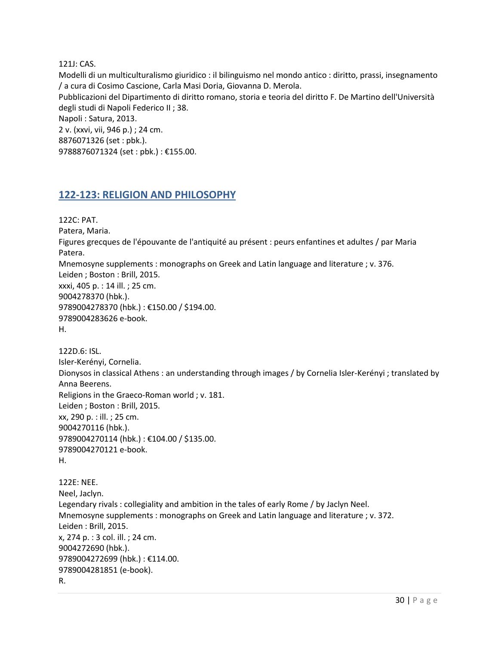121J: CAS.

Modelli di un multiculturalismo giuridico : il bilinguismo nel mondo antico : diritto, prassi, insegnamento / a cura di Cosimo Cascione, Carla Masi Doria, Giovanna D. Merola.

Pubblicazioni del Dipartimento di diritto romano, storia e teoria del diritto F. De Martino dell'Università degli studi di Napoli Federico II ; 38.

Napoli : Satura, 2013.

2 v. (xxvi, vii, 946 p.) ; 24 cm. 8876071326 (set : pbk.). 9788876071324 (set : pbk.) : €155.00.

#### <span id="page-29-0"></span>**122-123: RELIGION AND PHILOSOPHY**

122C: PAT. Patera, Maria. Figures grecques de l'épouvante de l'antiquité au présent : peurs enfantines et adultes / par Maria Patera. Mnemosyne supplements : monographs on Greek and Latin language and literature ; v. 376. Leiden ; Boston : Brill, 2015. xxxi, 405 p. : 14 ill. ; 25 cm. 9004278370 (hbk.). 9789004278370 (hbk.) : €150.00 / \$194.00. 9789004283626 e-book. H.

122D.6: ISL. Isler-Kerényi, Cornelia. Dionysos in classical Athens : an understanding through images / by Cornelia Isler-Kerényi ; translated by Anna Beerens. Religions in the Graeco-Roman world ; v. 181. Leiden ; Boston : Brill, 2015. xx, 290 p. : ill. ; 25 cm. 9004270116 (hbk.). 9789004270114 (hbk.) : €104.00 / \$135.00. 9789004270121 e-book. H.

122E: NEE. Neel, Jaclyn. Legendary rivals : collegiality and ambition in the tales of early Rome / by Jaclyn Neel. Mnemosyne supplements : monographs on Greek and Latin language and literature ; v. 372. Leiden : Brill, 2015. x, 274 p. : 3 col. ill. ; 24 cm. 9004272690 (hbk.). 9789004272699 (hbk.) : €114.00. 9789004281851 (e-book). R.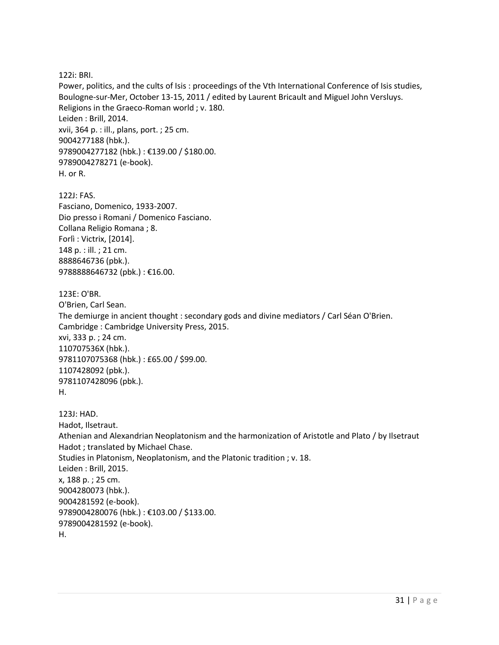122i: BRI.

Power, politics, and the cults of Isis : proceedings of the Vth International Conference of Isis studies, Boulogne-sur-Mer, October 13-15, 2011 / edited by Laurent Bricault and Miguel John Versluys. Religions in the Graeco-Roman world ; v. 180. Leiden : Brill, 2014. xvii, 364 p. : ill., plans, port. ; 25 cm. 9004277188 (hbk.). 9789004277182 (hbk.) : €139.00 / \$180.00. 9789004278271 (e-book). H. or R.

122J: FAS. Fasciano, Domenico, 1933-2007. Dio presso i Romani / Domenico Fasciano. Collana Religio Romana ; 8. Forlì : Victrix, [2014]. 148 p. : ill. ; 21 cm. 8888646736 (pbk.). 9788888646732 (pbk.) : €16.00.

123E: O'BR. O'Brien, Carl Sean. The demiurge in ancient thought : secondary gods and divine mediators / Carl Séan O'Brien. Cambridge : Cambridge University Press, 2015. xvi, 333 p. ; 24 cm. 110707536X (hbk.). 9781107075368 (hbk.) : £65.00 / \$99.00. 1107428092 (pbk.). 9781107428096 (pbk.). H.

123J: HAD. Hadot, Ilsetraut. Athenian and Alexandrian Neoplatonism and the harmonization of Aristotle and Plato / by Ilsetraut Hadot ; translated by Michael Chase. Studies in Platonism, Neoplatonism, and the Platonic tradition ; v. 18. Leiden : Brill, 2015. x, 188 p. ; 25 cm. 9004280073 (hbk.). 9004281592 (e-book). 9789004280076 (hbk.) : €103.00 / \$133.00. 9789004281592 (e-book). H.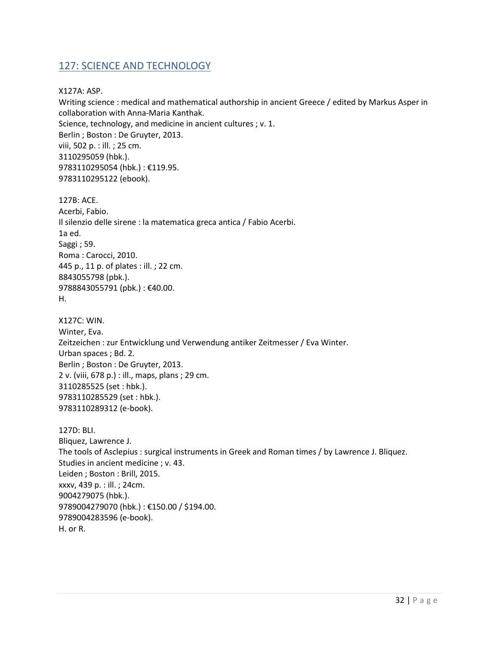#### <span id="page-31-0"></span>127: SCIENCE AND TECHNOLOGY

X127A: ASP.

Writing science : medical and mathematical authorship in ancient Greece / edited by Markus Asper in collaboration with Anna-Maria Kanthak. Science, technology, and medicine in ancient cultures ; v. 1. Berlin ; Boston : De Gruyter, 2013. viii, 502 p. : ill. ; 25 cm. 3110295059 (hbk.). 9783110295054 (hbk.) : €119.95. 9783110295122 (ebook).

127B: ACE. Acerbi, Fabio. Il silenzio delle sirene : la matematica greca antica / Fabio Acerbi. 1a ed. Saggi ; 59. Roma : Carocci, 2010. 445 p., 11 p. of plates : ill. ; 22 cm. 8843055798 (pbk.). 9788843055791 (pbk.): €40.00. H.

X127C: WIN. Winter, Eva. Zeitzeichen : zur Entwicklung und Verwendung antiker Zeitmesser / Eva Winter. Urban spaces ; Bd. 2. Berlin ; Boston : De Gruyter, 2013. 2 v. (viii, 678 p.) : ill., maps, plans ; 29 cm. 3110285525 (set : hbk.). 9783110285529 (set : hbk.). 9783110289312 (e-book).

127D: BLI. Bliquez, Lawrence J. The tools of Asclepius : surgical instruments in Greek and Roman times / by Lawrence J. Bliquez. Studies in ancient medicine ; v. 43. Leiden ; Boston : Brill, 2015. xxxv, 439 p. : ill. ; 24cm. 9004279075 (hbk.). 9789004279070 (hbk.) : €150.00 / \$194.00. 9789004283596 (e-book). H. or R.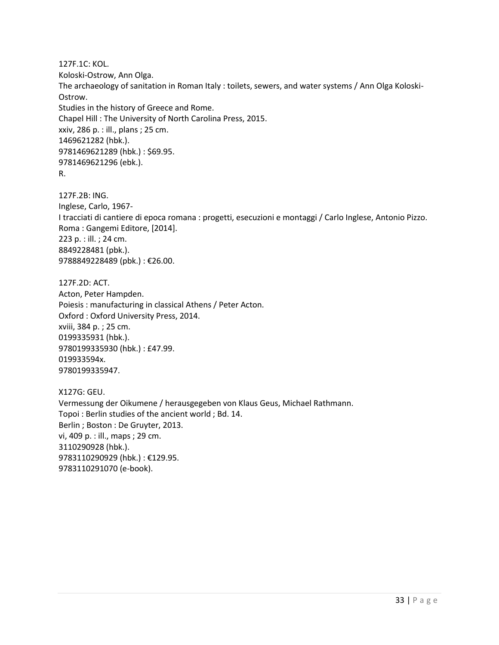127F.1C: KOL. Koloski-Ostrow, Ann Olga. The archaeology of sanitation in Roman Italy : toilets, sewers, and water systems / Ann Olga Koloski-Ostrow. Studies in the history of Greece and Rome. Chapel Hill : The University of North Carolina Press, 2015. xxiv, 286 p. : ill., plans ; 25 cm. 1469621282 (hbk.). 9781469621289 (hbk.) : \$69.95. 9781469621296 (ebk.). R.

127F.2B: ING. Inglese, Carlo, 1967- I tracciati di cantiere di epoca romana : progetti, esecuzioni e montaggi / Carlo Inglese, Antonio Pizzo. Roma : Gangemi Editore, [2014]. 223 p. : ill. ; 24 cm. 8849228481 (pbk.). 9788849228489 (pbk.) : €26.00.

127F.2D: ACT. Acton, Peter Hampden. Poiesis : manufacturing in classical Athens / Peter Acton. Oxford : Oxford University Press, 2014. xviii, 384 p. ; 25 cm. 0199335931 (hbk.). 9780199335930 (hbk.) : £47.99. 019933594x. 9780199335947.

X127G: GEU. Vermessung der Oikumene / herausgegeben von Klaus Geus, Michael Rathmann. Topoi : Berlin studies of the ancient world ; Bd. 14. Berlin ; Boston : De Gruyter, 2013. vi, 409 p. : ill., maps ; 29 cm. 3110290928 (hbk.). 9783110290929 (hbk.) : €129.95. 9783110291070 (e-book).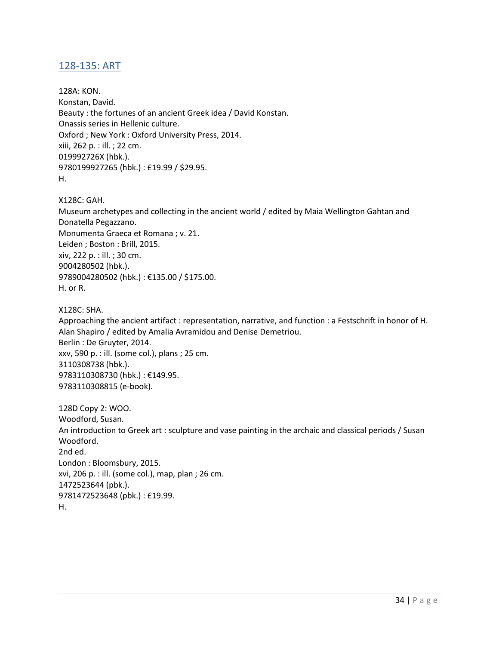#### <span id="page-33-0"></span>128-135: ART

128A: KON. Konstan, David. Beauty : the fortunes of an ancient Greek idea / David Konstan. Onassis series in Hellenic culture. Oxford ; New York : Oxford University Press, 2014. xiii, 262 p. : ill. ; 22 cm. 019992726X (hbk.). 9780199927265 (hbk.) : £19.99 / \$29.95. H.

X128C: GAH. Museum archetypes and collecting in the ancient world / edited by Maia Wellington Gahtan and Donatella Pegazzano. Monumenta Graeca et Romana ; v. 21. Leiden ; Boston : Brill, 2015. xiv, 222 p. : ill. ; 30 cm. 9004280502 (hbk.). 9789004280502 (hbk.) : €135.00 / \$175.00. H. or R.

X128C: SHA. Approaching the ancient artifact : representation, narrative, and function : a Festschrift in honor of H. Alan Shapiro / edited by Amalia Avramidou and Denise Demetriou. Berlin : De Gruyter, 2014. xxv, 590 p. : ill. (some col.), plans ; 25 cm. 3110308738 (hbk.). 9783110308730 (hbk.) : €149.95. 9783110308815 (e-book).

128D Copy 2: WOO. Woodford, Susan. An introduction to Greek art : sculpture and vase painting in the archaic and classical periods / Susan Woodford. 2nd ed. London : Bloomsbury, 2015. xvi, 206 p. : ill. (some col.), map, plan ; 26 cm. 1472523644 (pbk.). 9781472523648 (pbk.) : £19.99. H.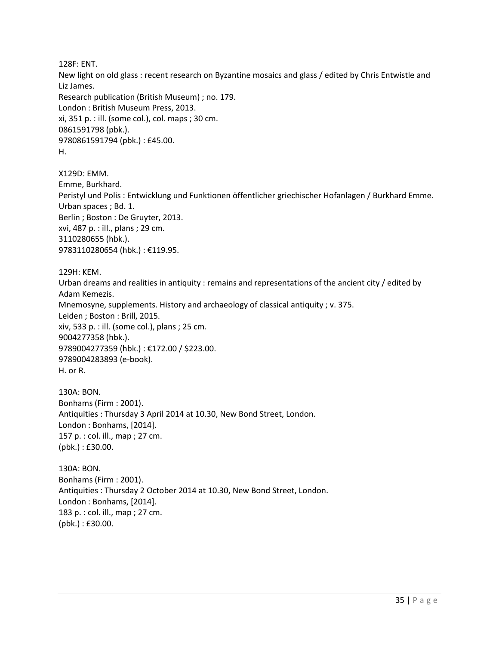128F: ENT.

New light on old glass : recent research on Byzantine mosaics and glass / edited by Chris Entwistle and Liz James. Research publication (British Museum) ; no. 179. London : British Museum Press, 2013. xi, 351 p. : ill. (some col.), col. maps ; 30 cm. 0861591798 (pbk.). 9780861591794 (pbk.) : £45.00. H.

X129D: EMM. Emme, Burkhard. Peristyl und Polis : Entwicklung und Funktionen öffentlicher griechischer Hofanlagen / Burkhard Emme. Urban spaces ; Bd. 1. Berlin ; Boston : De Gruyter, 2013. xvi, 487 p. : ill., plans ; 29 cm. 3110280655 (hbk.). 9783110280654 (hbk.) : €119.95.

129H: KEM. Urban dreams and realities in antiquity : remains and representations of the ancient city / edited by Adam Kemezis. Mnemosyne, supplements. History and archaeology of classical antiquity ; v. 375. Leiden ; Boston : Brill, 2015. xiv, 533 p. : ill. (some col.), plans ; 25 cm. 9004277358 (hbk.). 9789004277359 (hbk.) : €172.00 / \$223.00. 9789004283893 (e-book). H. or R.

130A: BON. Bonhams (Firm : 2001). Antiquities : Thursday 3 April 2014 at 10.30, New Bond Street, London. London : Bonhams, [2014]. 157 p. : col. ill., map ; 27 cm. (pbk.) : £30.00.

130A: BON. Bonhams (Firm : 2001). Antiquities : Thursday 2 October 2014 at 10.30, New Bond Street, London. London : Bonhams, [2014]. 183 p. : col. ill., map ; 27 cm. (pbk.) : £30.00.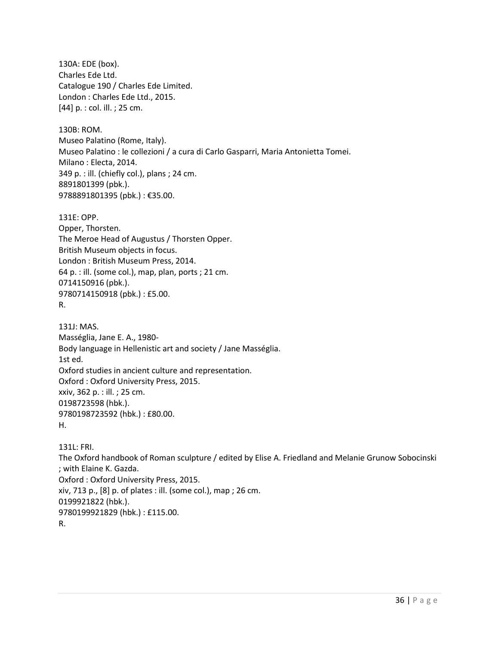130A: EDE (box). Charles Ede Ltd. Catalogue 190 / Charles Ede Limited. London : Charles Ede Ltd., 2015. [44] p. : col. ill. ; 25 cm.

130B: ROM. Museo Palatino (Rome, Italy). Museo Palatino : le collezioni / a cura di Carlo Gasparri, Maria Antonietta Tomei. Milano : Electa, 2014. 349 p. : ill. (chiefly col.), plans ; 24 cm. 8891801399 (pbk.). 9788891801395 (pbk.) : €35.00.

131E: OPP. Opper, Thorsten. The Meroe Head of Augustus / Thorsten Opper. British Museum objects in focus. London : British Museum Press, 2014. 64 p. : ill. (some col.), map, plan, ports ; 21 cm. 0714150916 (pbk.). 9780714150918 (pbk.) : £5.00. R.

131J: MAS. Masséglia, Jane E. A., 1980- Body language in Hellenistic art and society / Jane Masséglia. 1st ed. Oxford studies in ancient culture and representation. Oxford : Oxford University Press, 2015. xxiv, 362 p. : ill. ; 25 cm. 0198723598 (hbk.). 9780198723592 (hbk.) : £80.00. H.

131L: FRI. The Oxford handbook of Roman sculpture / edited by Elise A. Friedland and Melanie Grunow Sobocinski ; with Elaine K. Gazda. Oxford : Oxford University Press, 2015. xiv, 713 p., [8] p. of plates : ill. (some col.), map ; 26 cm. 0199921822 (hbk.). 9780199921829 (hbk.) : £115.00. R.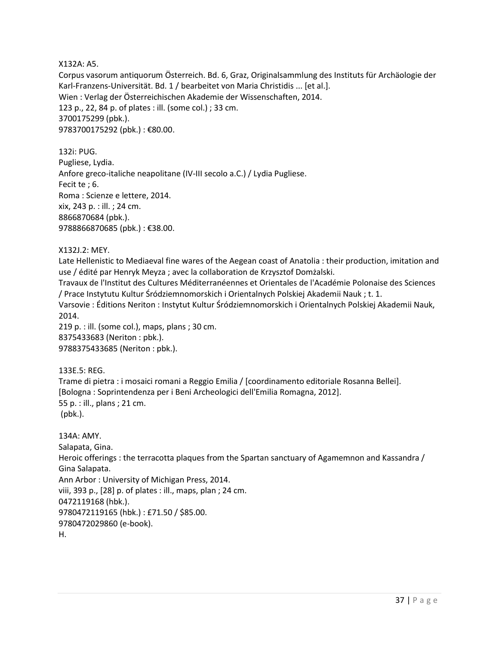X132A: A5.

Corpus vasorum antiquorum Österreich. Bd. 6, Graz, Originalsammlung des Instituts für Archäologie der Karl-Franzens-Universität. Bd. 1 / bearbeitet von Maria Christidis ... [et al.]. Wien : Verlag der Österreichischen Akademie der Wissenschaften, 2014. 123 p., 22, 84 p. of plates : ill. (some col.) ; 33 cm. 3700175299 (pbk.). 9783700175292 (pbk.) : €80.00.

132i: PUG. Pugliese, Lydia. Anfore greco-italiche neapolitane (IV-III secolo a.C.) / Lydia Pugliese. Fecit te ; 6. Roma : Scienze e lettere, 2014. xix, 243 p. : ill. ; 24 cm. 8866870684 (pbk.). 9788866870685 (pbk.): €38.00.

X132J.2: MEY.

Late Hellenistic to Mediaeval fine wares of the Aegean coast of Anatolia : their production, imitation and use / édité par Henryk Meyza ; avec la collaboration de Krzysztof Domżalski.

Travaux de l'Institut des Cultures Méditerranéennes et Orientales de l'Académie Polonaise des Sciences / Prace Instytutu Kultur Śródziemnomorskich i Orientalnych Polskiej Akademii Nauk ; t. 1.

Varsovie : Éditions Neriton : Instytut Kultur Śródziemnomorskich i Orientalnych Polskiej Akademii Nauk, 2014.

219 p. : ill. (some col.), maps, plans ; 30 cm. 8375433683 (Neriton : pbk.). 9788375433685 (Neriton : pbk.).

133E.5: REG. Trame di pietra : i mosaici romani a Reggio Emilia / [coordinamento editoriale Rosanna Bellei]. [Bologna : Soprintendenza per i Beni Archeologici dell'Emilia Romagna, 2012]. 55 p. : ill., plans ; 21 cm. (pbk.).

134A: AMY. Salapata, Gina. Heroic offerings : the terracotta plaques from the Spartan sanctuary of Agamemnon and Kassandra / Gina Salapata. Ann Arbor : University of Michigan Press, 2014. viii, 393 p., [28] p. of plates : ill., maps, plan ; 24 cm. 0472119168 (hbk.). 9780472119165 (hbk.) : £71.50 / \$85.00. 9780472029860 (e-book). H.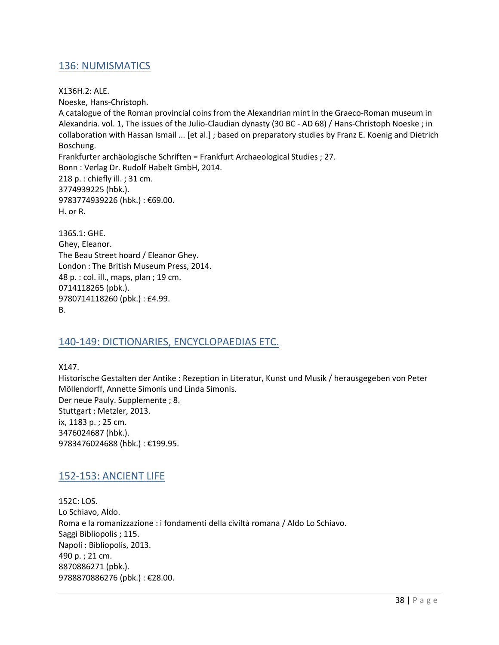#### <span id="page-37-0"></span>136: NUMISMATICS

X136H.2: ALE. Noeske, Hans-Christoph. A catalogue of the Roman provincial coins from the Alexandrian mint in the Graeco-Roman museum in Alexandria. vol. 1, The issues of the Julio-Claudian dynasty (30 BC - AD 68) / Hans-Christoph Noeske ; in collaboration with Hassan Ismail ... [et al.] ; based on preparatory studies by Franz E. Koenig and Dietrich Boschung. Frankfurter archäologische Schriften = Frankfurt Archaeological Studies ; 27. Bonn : Verlag Dr. Rudolf Habelt GmbH, 2014. 218 p. : chiefly ill. ; 31 cm. 3774939225 (hbk.). 9783774939226 (hbk.) : €69.00. H. or R.

136S.1: GHE. Ghey, Eleanor. The Beau Street hoard / Eleanor Ghey. London : The British Museum Press, 2014. 48 p. : col. ill., maps, plan ; 19 cm. 0714118265 (pbk.). 9780714118260 (pbk.) : £4.99. B.

#### <span id="page-37-1"></span>140-149: DICTIONARIES, ENCYCLOPAEDIAS ETC.

X147. Historische Gestalten der Antike : Rezeption in Literatur, Kunst und Musik / herausgegeben von Peter Möllendorff, Annette Simonis und Linda Simonis. Der neue Pauly. Supplemente ; 8. Stuttgart : Metzler, 2013. ix, 1183 p. ; 25 cm. 3476024687 (hbk.). 9783476024688 (hbk.) : €199.95.

#### <span id="page-37-2"></span>152-153: ANCIENT LIFE

152C: LOS. Lo Schiavo, Aldo. Roma e la romanizzazione : i fondamenti della civiltà romana / Aldo Lo Schiavo. Saggi Bibliopolis ; 115. Napoli : Bibliopolis, 2013. 490 p. ; 21 cm. 8870886271 (pbk.). 9788870886276 (pbk.) : €28.00.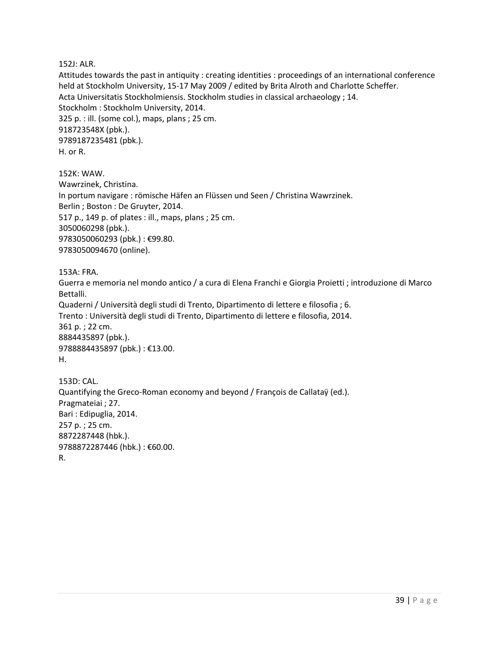152J: ALR.

Attitudes towards the past in antiquity : creating identities : proceedings of an international conference held at Stockholm University, 15-17 May 2009 / edited by Brita Alroth and Charlotte Scheffer. Acta Universitatis Stockholmiensis. Stockholm studies in classical archaeology ; 14. Stockholm : Stockholm University, 2014. 325 p. : ill. (some col.), maps, plans ; 25 cm. 918723548X (pbk.). 9789187235481 (pbk.). H. or R.

152K: WAW. Wawrzinek, Christina. In portum navigare : römische Häfen an Flüssen und Seen / Christina Wawrzinek. Berlin ; Boston : De Gruyter, 2014. 517 p., 149 p. of plates : ill., maps, plans ; 25 cm. 3050060298 (pbk.). 9783050060293 (pbk.) : €99.80. 9783050094670 (online).

153A: FRA.

Guerra e memoria nel mondo antico / a cura di Elena Franchi e Giorgia Proietti ; introduzione di Marco Bettalli. Quaderni / Università degli studi di Trento, Dipartimento di lettere e filosofia ; 6. Trento : Università degli studi di Trento, Dipartimento di lettere e filosofia, 2014. 361 p. ; 22 cm. 8884435897 (pbk.). 9788884435897 (pbk.): €13.00. H.

153D: CAL. Quantifying the Greco-Roman economy and beyond / François de Callataÿ (ed.). Pragmateiai ; 27. Bari : Edipuglia, 2014. 257 p. ; 25 cm. 8872287448 (hbk.). 9788872287446 (hbk.) : €60.00. R.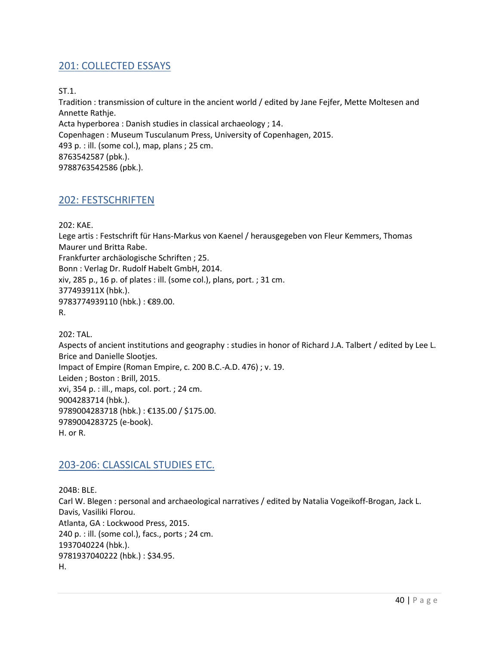#### <span id="page-39-0"></span>201: COLLECTED ESSAYS

ST.1.

Tradition : transmission of culture in the ancient world / edited by Jane Fejfer, Mette Moltesen and Annette Rathje. Acta hyperborea : Danish studies in classical archaeology ; 14. Copenhagen : Museum Tusculanum Press, University of Copenhagen, 2015. 493 p. : ill. (some col.), map, plans ; 25 cm. 8763542587 (pbk.). 9788763542586 (pbk.).

#### <span id="page-39-1"></span>202: FESTSCHRIFTEN

202: KAE.

Lege artis : Festschrift für Hans-Markus von Kaenel / herausgegeben von Fleur Kemmers, Thomas Maurer und Britta Rabe. Frankfurter archäologische Schriften ; 25. Bonn : Verlag Dr. Rudolf Habelt GmbH, 2014. xiv, 285 p., 16 p. of plates : ill. (some col.), plans, port. ; 31 cm. 377493911X (hbk.). 9783774939110 (hbk.) : €89.00. R.

202: TAL. Aspects of ancient institutions and geography : studies in honor of Richard J.A. Talbert / edited by Lee L. Brice and Danielle Slootjes. Impact of Empire (Roman Empire, c. 200 B.C.-A.D. 476) ; v. 19. Leiden ; Boston : Brill, 2015. xvi, 354 p. : ill., maps, col. port. ; 24 cm. 9004283714 (hbk.). 9789004283718 (hbk.) : €135.00 / \$175.00. 9789004283725 (e-book). H. or R.

#### <span id="page-39-2"></span>203-206: CLASSICAL STUDIES ETC.

204B: BLE. Carl W. Blegen : personal and archaeological narratives / edited by Natalia Vogeikoff-Brogan, Jack L. Davis, Vasiliki Florou. Atlanta, GA : Lockwood Press, 2015. 240 p. : ill. (some col.), facs., ports ; 24 cm. 1937040224 (hbk.). 9781937040222 (hbk.) : \$34.95. H.